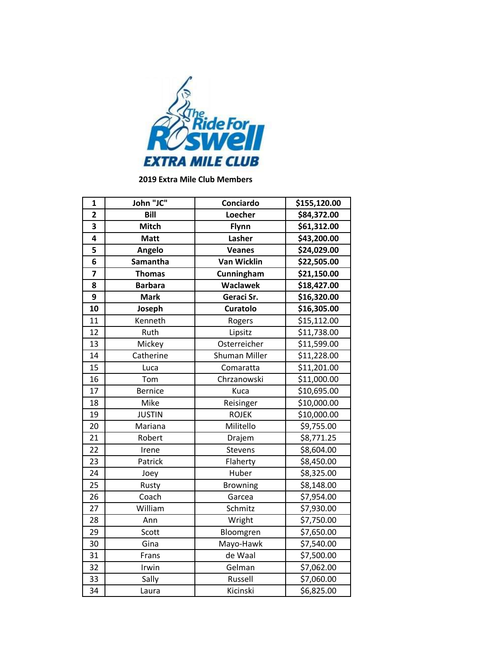

**2019 Extra Mile Club Members**

| 1                       | John "JC"      | Conciardo          | \$155,120.00            |
|-------------------------|----------------|--------------------|-------------------------|
| $\overline{2}$          | Bill           | Loecher            | \$84,372.00             |
| 3                       | <b>Mitch</b>   | Flynn              | \$61,312.00             |
| 4                       | <b>Matt</b>    | Lasher             | \$43,200.00             |
| 5                       | Angelo         | <b>Veanes</b>      | \$24,029.00             |
| 6                       | Samantha       | <b>Van Wicklin</b> | \$22,505.00             |
| $\overline{\mathbf{z}}$ | <b>Thomas</b>  | Cunningham         | \$21,150.00             |
| 8                       | <b>Barbara</b> | <b>Waclawek</b>    | \$18,427.00             |
| 9                       | <b>Mark</b>    | Geraci Sr.         | \$16,320.00             |
| 10                      | Joseph         | <b>Curatolo</b>    | \$16,305.00             |
| 11                      | Kenneth        | Rogers             | \$15,112.00             |
| 12                      | Ruth           | Lipsitz            | \$11,738.00             |
| 13                      | Mickey         | Osterreicher       | \$11,599.00             |
| 14                      | Catherine      | Shuman Miller      | \$11,228.00             |
| 15                      | Luca           | Comaratta          | \$11,201.00             |
| 16                      | Tom            | Chrzanowski        | \$11,000.00             |
| 17                      | <b>Bernice</b> | Kuca               | \$10,695.00             |
| 18                      | Mike           | Reisinger          | $\overline{$}10,000.00$ |
| 19                      | <b>JUSTIN</b>  | <b>ROJEK</b>       | \$10,000.00             |
| 20                      | Mariana        | Militello          | \$9,755.00              |
| 21                      | Robert         | Drajem             | \$8,771.25              |
| 22                      | Irene          | Stevens            | \$8,604.00              |
| 23                      | Patrick        | Flaherty           | \$8,450.00              |
| 24                      | Joey           | Huber              | \$8,325.00              |
| 25                      | Rusty          | <b>Browning</b>    | \$8,148.00              |
| 26                      | Coach          | Garcea             | \$7,954.00              |
| 27                      | William        | Schmitz            | \$7,930.00              |
| 28                      | Ann            | Wright             | \$7,750.00              |
| 29                      | Scott          | Bloomgren          | \$7,650.00              |
| 30                      | Gina           | Mayo-Hawk          | \$7,540.00              |
| 31                      | Frans          | de Waal            | \$7,500.00              |
| $\overline{32}$         | Irwin          | Gelman             | \$7,062.00              |
| 33                      | Sally          | Russell            | \$7,060.00              |
| 34                      | Laura          | Kicinski           | \$6,825.00              |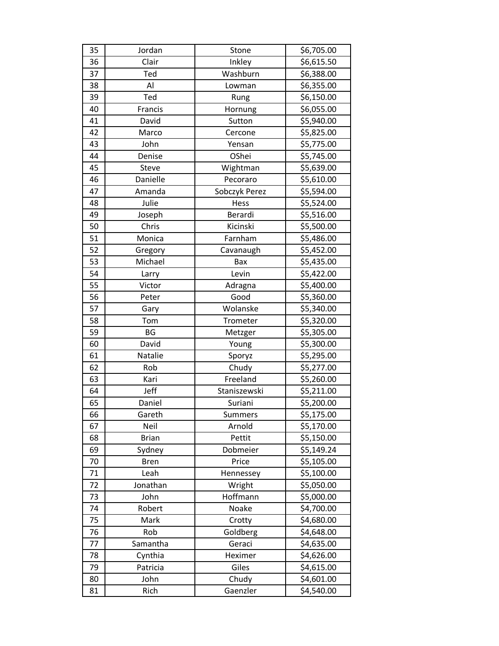| 35 | Jordan       | Stone          | \$6,705.00 |
|----|--------------|----------------|------------|
| 36 | Clair        | Inkley         | \$6,615.50 |
| 37 | Ted          | Washburn       | \$6,388.00 |
| 38 | Al           | Lowman         | \$6,355.00 |
| 39 | Ted          | Rung           | \$6,150.00 |
| 40 | Francis      | Hornung        | \$6,055.00 |
| 41 | David        | Sutton         | \$5,940.00 |
| 42 | Marco        | Cercone        | \$5,825.00 |
| 43 | John         | Yensan         | \$5,775.00 |
| 44 | Denise       | OShei          | \$5,745.00 |
| 45 | Steve        | Wightman       | \$5,639.00 |
| 46 | Danielle     | Pecoraro       | \$5,610.00 |
| 47 | Amanda       | Sobczyk Perez  | \$5,594.00 |
| 48 | Julie        | Hess           | \$5,524.00 |
| 49 | Joseph       | Berardi        | \$5,516.00 |
| 50 | Chris        | Kicinski       | \$5,500.00 |
| 51 | Monica       | Farnham        | \$5,486.00 |
| 52 | Gregory      | Cavanaugh      | \$5,452.00 |
| 53 | Michael      | Bax            | \$5,435.00 |
| 54 | Larry        | Levin          | \$5,422.00 |
| 55 | Victor       | Adragna        | \$5,400.00 |
| 56 | Peter        | Good           | \$5,360.00 |
| 57 | Gary         | Wolanske       | \$5,340.00 |
| 58 | Tom          | Trometer       | \$5,320.00 |
| 59 | BG           | Metzger        | \$5,305.00 |
| 60 | David        | Young          | \$5,300.00 |
| 61 | Natalie      | Sporyz         | \$5,295.00 |
| 62 | Rob          | Chudy          | \$5,277.00 |
| 63 | Kari         | Freeland       | \$5,260.00 |
| 64 | Jeff         | Staniszewski   | \$5,211.00 |
| 65 | Daniel       | Suriani        | \$5,200.00 |
| 66 | Gareth       | <b>Summers</b> | \$5,175.00 |
| 67 | Neil         | Arnold         | \$5,170.00 |
| 68 | <b>Brian</b> | Pettit         | \$5,150.00 |
| 69 | Sydney       | Dobmeier       | \$5,149.24 |
| 70 | <b>Bren</b>  | Price          | \$5,105.00 |
| 71 | Leah         | Hennessey      | \$5,100.00 |
| 72 | Jonathan     | Wright         | \$5,050.00 |
| 73 | John         | Hoffmann       | \$5,000.00 |
| 74 | Robert       | Noake          | \$4,700.00 |
| 75 | Mark         | Crotty         | \$4,680.00 |
| 76 | Rob          | Goldberg       | \$4,648.00 |
| 77 | Samantha     | Geraci         | \$4,635.00 |
| 78 | Cynthia      | Heximer        | \$4,626.00 |
| 79 | Patricia     | Giles          | \$4,615.00 |
| 80 | John         | Chudy          | \$4,601.00 |
| 81 | Rich         | Gaenzler       | \$4,540.00 |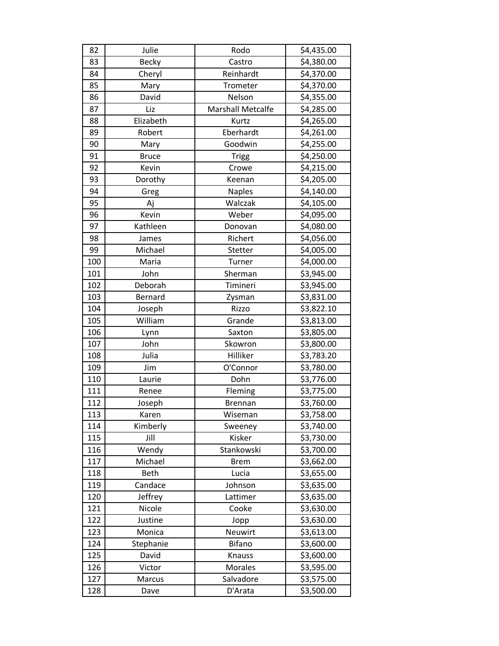| 82  | Julie        | Rodo                     | \$4,435.00 |
|-----|--------------|--------------------------|------------|
| 83  | Becky        | Castro                   | \$4,380.00 |
| 84  | Cheryl       | Reinhardt                | \$4,370.00 |
| 85  | Mary         | Trometer                 | \$4,370.00 |
| 86  | David        | Nelson                   | \$4,355.00 |
| 87  | Liz          | <b>Marshall Metcalfe</b> | \$4,285.00 |
| 88  | Elizabeth    | Kurtz                    | \$4,265.00 |
| 89  | Robert       | Eberhardt                | \$4,261.00 |
| 90  | Mary         | Goodwin                  | \$4,255.00 |
| 91  | <b>Bruce</b> | <b>Trigg</b>             | \$4,250.00 |
| 92  | Kevin        | Crowe                    | \$4,215.00 |
| 93  | Dorothy      | Keenan                   | \$4,205.00 |
| 94  | Greg         | <b>Naples</b>            | \$4,140.00 |
| 95  | Aj           | Walczak                  | \$4,105.00 |
| 96  | Kevin        | Weber                    | \$4,095.00 |
| 97  | Kathleen     | Donovan                  | \$4,080.00 |
| 98  | James        | Richert                  | \$4,056.00 |
| 99  | Michael      | Stetter                  | \$4,005.00 |
| 100 | Maria        | Turner                   | \$4,000.00 |
| 101 | John         | Sherman                  | \$3,945.00 |
| 102 | Deborah      | Timineri                 | \$3,945.00 |
| 103 | Bernard      | Zysman                   | \$3,831.00 |
| 104 | Joseph       | Rizzo                    | \$3,822.10 |
| 105 | William      | Grande                   | \$3,813.00 |
| 106 | Lynn         | Saxton                   | \$3,805.00 |
| 107 | John         | Skowron                  | \$3,800.00 |
| 108 | Julia        | Hilliker                 | \$3,783.20 |
| 109 | Jim          | O'Connor                 | \$3,780.00 |
| 110 | Laurie       | Dohn                     | \$3,776.00 |
| 111 | Renee        | Fleming                  | \$3,775.00 |
| 112 | Joseph       | <b>Brennan</b>           | \$3,760.00 |
| 113 | Karen        | Wiseman                  | \$3,758.00 |
| 114 | Kimberly     | Sweeney                  | \$3,740.00 |
| 115 | Jill         | Kisker                   | \$3,730.00 |
| 116 | Wendy        | Stankowski               | \$3,700.00 |
| 117 | Michael      | <b>Brem</b>              | \$3,662.00 |
| 118 | <b>Beth</b>  | Lucia                    | \$3,655.00 |
| 119 | Candace      | Johnson                  | \$3,635.00 |
| 120 | Jeffrey      | Lattimer                 | \$3,635.00 |
| 121 | Nicole       | Cooke                    | \$3,630.00 |
| 122 | Justine      | Jopp                     | \$3,630.00 |
| 123 | Monica       | Neuwirt                  | \$3,613.00 |
| 124 | Stephanie    | Bifano                   | \$3,600.00 |
| 125 | David        | Knauss                   | \$3,600.00 |
| 126 | Victor       | Morales                  | \$3,595.00 |
| 127 | Marcus       | Salvadore                | \$3,575.00 |
| 128 | Dave         | D'Arata                  | \$3,500.00 |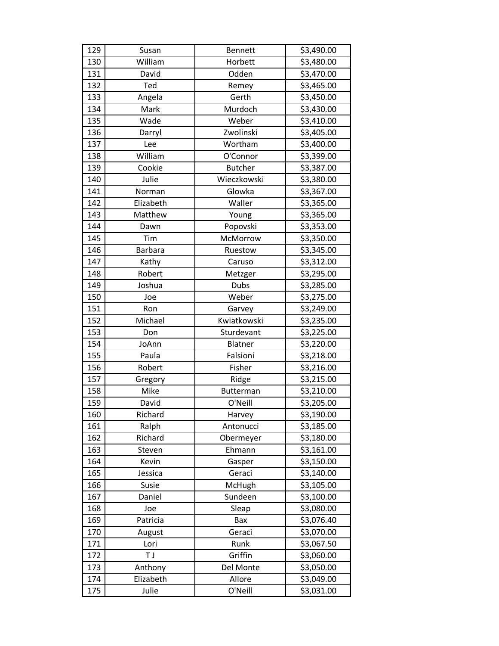| 129 | Susan          | <b>Bennett</b> | \$3,490.00 |
|-----|----------------|----------------|------------|
| 130 | William        | Horbett        | \$3,480.00 |
| 131 | David          | Odden          | \$3,470.00 |
| 132 | Ted            | Remey          | \$3,465.00 |
| 133 | Angela         | Gerth          | \$3,450.00 |
| 134 | Mark           | Murdoch        | \$3,430.00 |
| 135 | Wade           | Weber          | \$3,410.00 |
| 136 | Darryl         | Zwolinski      | \$3,405.00 |
| 137 | Lee            | Wortham        | \$3,400.00 |
| 138 | William        | O'Connor       | \$3,399.00 |
| 139 | Cookie         | <b>Butcher</b> | \$3,387.00 |
| 140 | Julie          | Wieczkowski    | \$3,380.00 |
| 141 | Norman         | Glowka         | \$3,367.00 |
| 142 | Elizabeth      | Waller         | \$3,365.00 |
| 143 | Matthew        | Young          | \$3,365.00 |
| 144 | Dawn           | Popovski       | \$3,353.00 |
| 145 | Tim            | McMorrow       | \$3,350.00 |
| 146 | <b>Barbara</b> | Ruestow        | \$3,345.00 |
| 147 | Kathy          | Caruso         | \$3,312.00 |
| 148 | Robert         | Metzger        | \$3,295.00 |
| 149 | Joshua         | Dubs           | \$3,285.00 |
| 150 | Joe            | Weber          | \$3,275.00 |
| 151 | Ron            | Garvey         | \$3,249.00 |
| 152 | Michael        | Kwiatkowski    | \$3,235.00 |
| 153 | Don            | Sturdevant     | \$3,225.00 |
| 154 | JoAnn          | Blatner        | \$3,220.00 |
| 155 | Paula          | Falsioni       | \$3,218.00 |
| 156 | Robert         | Fisher         | \$3,216.00 |
| 157 | Gregory        | Ridge          | \$3,215.00 |
| 158 | Mike           | Butterman      | \$3,210.00 |
| 159 | David          | O'Neill        | \$3,205.00 |
| 160 | Richard        | Harvey         | \$3,190.00 |
| 161 | Ralph          | Antonucci      | \$3,185.00 |
| 162 | Richard        | Obermeyer      | \$3,180.00 |
| 163 | Steven         | Ehmann         | \$3,161.00 |
| 164 | Kevin          | Gasper         | \$3,150.00 |
| 165 | Jessica        | Geraci         | \$3,140.00 |
| 166 | Susie          | McHugh         | \$3,105.00 |
| 167 | Daniel         | Sundeen        | \$3,100.00 |
| 168 | Joe            | Sleap          | \$3,080.00 |
| 169 | Patricia       | Bax            | \$3,076.40 |
| 170 | August         | Geraci         | \$3,070.00 |
| 171 | Lori           | Runk           | \$3,067.50 |
| 172 | T J            | Griffin        | \$3,060.00 |
| 173 | Anthony        | Del Monte      | \$3,050.00 |
| 174 | Elizabeth      | Allore         | \$3,049.00 |
| 175 | Julie          | O'Neill        | \$3,031.00 |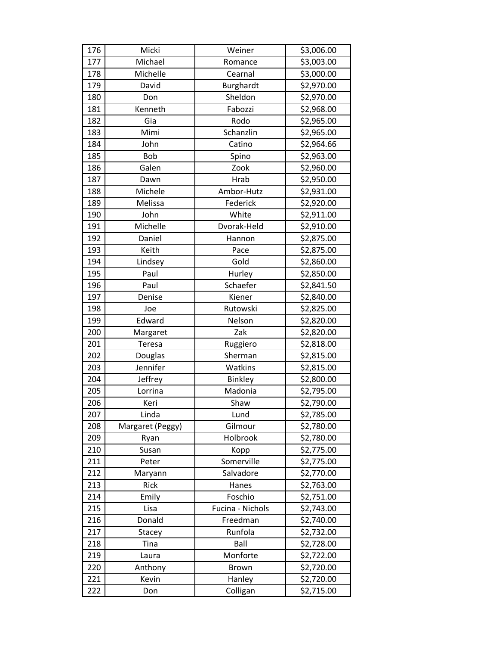| 176 | Micki            | Weiner           | \$3,006.00 |
|-----|------------------|------------------|------------|
| 177 | Michael          | Romance          | \$3,003.00 |
| 178 | Michelle         | Cearnal          | \$3,000.00 |
| 179 | David            | Burghardt        | \$2,970.00 |
| 180 | Don              | Sheldon          | \$2,970.00 |
| 181 | Kenneth          | Fabozzi          | \$2,968.00 |
| 182 | Gia              | Rodo             | \$2,965.00 |
| 183 | Mimi             | Schanzlin        | \$2,965.00 |
| 184 | John             | Catino           | \$2,964.66 |
| 185 | <b>Bob</b>       | Spino            | \$2,963.00 |
| 186 | Galen            | Zook             | \$2,960.00 |
| 187 | Dawn             | Hrab             | \$2,950.00 |
| 188 | Michele          | Ambor-Hutz       | \$2,931.00 |
| 189 | Melissa          | Federick         | \$2,920.00 |
| 190 | John             | White            | \$2,911.00 |
| 191 | Michelle         | Dvorak-Held      | \$2,910.00 |
| 192 | Daniel           | Hannon           | \$2,875.00 |
| 193 | Keith            | Pace             | \$2,875.00 |
| 194 | Lindsey          | Gold             | \$2,860.00 |
| 195 | Paul             | Hurley           | \$2,850.00 |
| 196 | Paul             | Schaefer         | \$2,841.50 |
| 197 | Denise           | Kiener           | \$2,840.00 |
| 198 | Joe              | Rutowski         | \$2,825.00 |
| 199 | Edward           | Nelson           | \$2,820.00 |
| 200 | Margaret         | Zak              | \$2,820.00 |
| 201 | Teresa           | Ruggiero         | \$2,818.00 |
| 202 | Douglas          | Sherman          | \$2,815.00 |
| 203 | Jennifer         | Watkins          | \$2,815.00 |
| 204 | Jeffrey          | Binkley          | \$2,800.00 |
| 205 | Lorrina          | Madonia          | \$2,795.00 |
| 206 | Keri             | Shaw             | \$2,790.00 |
| 207 | Linda            | Lund             | \$2,785.00 |
| 208 | Margaret (Peggy) | Gilmour          | \$2,780.00 |
| 209 | Ryan             | Holbrook         | \$2,780.00 |
| 210 | Susan            | Kopp             | \$2,775.00 |
| 211 | Peter            | Somerville       | \$2,775.00 |
| 212 | Maryann          | Salvadore        | \$2,770.00 |
| 213 | Rick             | Hanes            | \$2,763.00 |
| 214 | Emily            | Foschio          | \$2,751.00 |
| 215 | Lisa             | Fucina - Nichols | \$2,743.00 |
| 216 | Donald           | Freedman         | \$2,740.00 |
| 217 | Stacey           | Runfola          | \$2,732.00 |
| 218 | Tina             | Ball             | \$2,728.00 |
| 219 | Laura            | Monforte         | \$2,722.00 |
| 220 | Anthony          | <b>Brown</b>     | \$2,720.00 |
| 221 | Kevin            | Hanley           | \$2,720.00 |
| 222 | Don              | Colligan         | \$2,715.00 |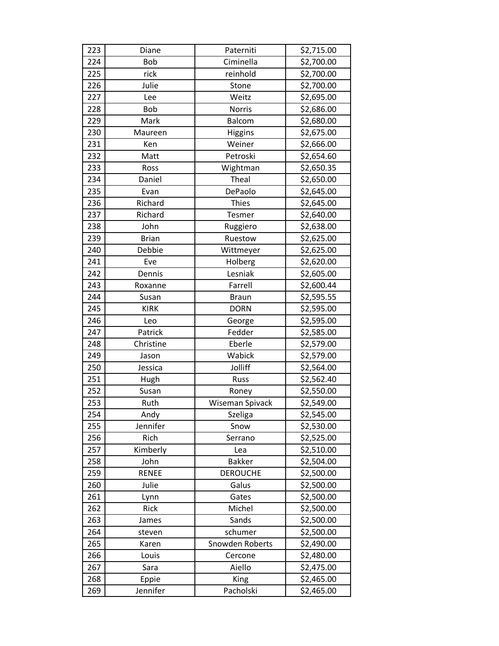| 223 | Diane        | Paterniti       | \$2,715.00 |
|-----|--------------|-----------------|------------|
| 224 | Bob          | Ciminella       | \$2,700.00 |
| 225 | rick         | reinhold        | \$2,700.00 |
| 226 | Julie        | Stone           | \$2,700.00 |
| 227 | Lee          | Weitz           | \$2,695.00 |
| 228 | Bob          | Norris          | \$2,686.00 |
| 229 | Mark         | <b>Balcom</b>   | \$2,680.00 |
| 230 | Maureen      | <b>Higgins</b>  | \$2,675.00 |
| 231 | Ken          | Weiner          | \$2,666.00 |
| 232 | Matt         | Petroski        | \$2,654.60 |
| 233 | Ross         | Wightman        | \$2,650.35 |
| 234 | Daniel       | Theal           | \$2,650.00 |
| 235 | Evan         | DePaolo         | \$2,645.00 |
| 236 | Richard      | <b>Thies</b>    | \$2,645.00 |
| 237 | Richard      | Tesmer          | \$2,640.00 |
| 238 | John         | Ruggiero        | \$2,638.00 |
| 239 | <b>Brian</b> | Ruestow         | \$2,625.00 |
| 240 | Debbie       | Wittmeyer       | \$2,625.00 |
| 241 | Eve          | Holberg         | \$2,620.00 |
| 242 | Dennis       | Lesniak         | \$2,605.00 |
| 243 | Roxanne      | Farrell         | \$2,600.44 |
| 244 | Susan        | <b>Braun</b>    | \$2,595.55 |
| 245 | <b>KIRK</b>  | <b>DORN</b>     | \$2,595.00 |
| 246 | Leo          | George          | \$2,595.00 |
| 247 | Patrick      | Fedder          | \$2,585.00 |
| 248 | Christine    | Eberle          | \$2,579.00 |
| 249 | Jason        | Wabick          | \$2,579.00 |
| 250 | Jessica      | Jolliff         | \$2,564.00 |
| 251 | Hugh         | <b>Russ</b>     | \$2,562.40 |
| 252 | Susan        | Roney           | \$2,550.00 |
| 253 | Ruth         | Wiseman Spivack | \$2,549.00 |
| 254 | Andy         | <b>Szeliga</b>  | \$2,545.00 |
| 255 | Jennifer     | Snow            | \$2,530.00 |
| 256 | Rich         | Serrano         | \$2,525.00 |
| 257 | Kimberly     | Lea             | \$2,510.00 |
| 258 | John         | <b>Bakker</b>   | \$2,504.00 |
| 259 | <b>RENEE</b> | <b>DEROUCHE</b> | \$2,500.00 |
| 260 | Julie        | Galus           | \$2,500.00 |
| 261 | Lynn         | Gates           | \$2,500.00 |
| 262 | Rick         | Michel          | \$2,500.00 |
| 263 | James        | Sands           | \$2,500.00 |
| 264 | steven       | schumer         | \$2,500.00 |
| 265 | Karen        | Snowden Roberts | \$2,490.00 |
| 266 | Louis        | Cercone         | \$2,480.00 |
| 267 | Sara         | Aiello          | \$2,475.00 |
| 268 | Eppie        | King            | \$2,465.00 |
| 269 | Jennifer     | Pacholski       | \$2,465.00 |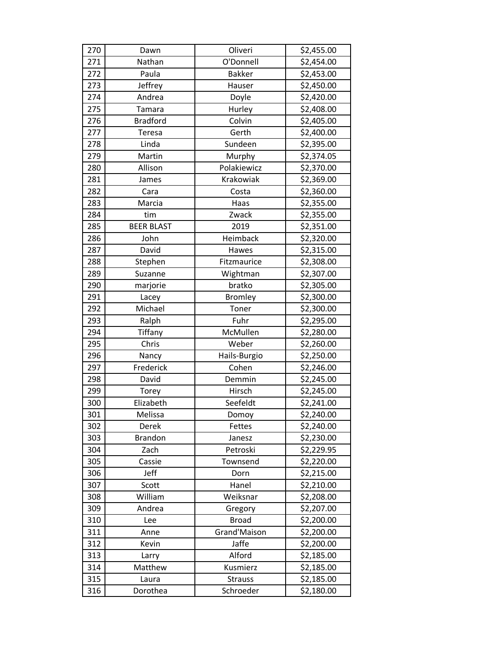| 270 | Dawn              | Oliveri        | \$2,455.00 |
|-----|-------------------|----------------|------------|
| 271 | Nathan            | O'Donnell      | \$2,454.00 |
| 272 | Paula             | <b>Bakker</b>  | \$2,453.00 |
| 273 | Jeffrey           | Hauser         | \$2,450.00 |
| 274 | Andrea            | Doyle          | \$2,420.00 |
| 275 | Tamara            | Hurley         | \$2,408.00 |
| 276 | <b>Bradford</b>   | Colvin         | \$2,405.00 |
| 277 | Teresa            | Gerth          | \$2,400.00 |
| 278 | Linda             | Sundeen        | \$2,395.00 |
| 279 | Martin            | Murphy         | \$2,374.05 |
| 280 | Allison           | Polakiewicz    | \$2,370.00 |
| 281 | James             | Krakowiak      | \$2,369.00 |
| 282 | Cara              | Costa          | \$2,360.00 |
| 283 | Marcia            | Haas           | \$2,355.00 |
| 284 | tim               | Zwack          | \$2,355.00 |
| 285 | <b>BEER BLAST</b> | 2019           | \$2,351.00 |
| 286 | John              | Heimback       | \$2,320.00 |
| 287 | David             | Hawes          | \$2,315.00 |
| 288 | Stephen           | Fitzmaurice    | \$2,308.00 |
| 289 | Suzanne           | Wightman       | \$2,307.00 |
| 290 | marjorie          | bratko         | \$2,305.00 |
| 291 | Lacey             | <b>Bromley</b> | \$2,300.00 |
| 292 | Michael           | Toner          | \$2,300.00 |
| 293 | Ralph             | Fuhr           | \$2,295.00 |
| 294 | Tiffany           | McMullen       | \$2,280.00 |
| 295 | Chris             | Weber          | \$2,260.00 |
| 296 | Nancy             | Hails-Burgio   | \$2,250.00 |
| 297 | Frederick         | Cohen          | \$2,246.00 |
| 298 | David             | Demmin         | \$2,245.00 |
| 299 | Torey             | Hirsch         | \$2,245.00 |
| 300 | Elizabeth         | Seefeldt       | \$2,241.00 |
| 301 | Melissa           | Domoy          | \$2,240.00 |
| 302 | Derek             | Fettes         | \$2,240.00 |
| 303 | <b>Brandon</b>    | Janesz         | \$2,230.00 |
| 304 | Zach              | Petroski       | \$2,229.95 |
| 305 | Cassie            | Townsend       | \$2,220.00 |
| 306 | Jeff              | Dorn           | \$2,215.00 |
| 307 | Scott             | Hanel          | \$2,210.00 |
| 308 | William           | Weiksnar       | \$2,208.00 |
| 309 | Andrea            | Gregory        | \$2,207.00 |
| 310 | Lee               | <b>Broad</b>   | \$2,200.00 |
| 311 | Anne              | Grand'Maison   | \$2,200.00 |
| 312 | Kevin             | Jaffe          | \$2,200.00 |
| 313 | Larry             | Alford         | \$2,185.00 |
| 314 | Matthew           | Kusmierz       | \$2,185.00 |
| 315 | Laura             | <b>Strauss</b> | \$2,185.00 |
| 316 | Dorothea          | Schroeder      | \$2,180.00 |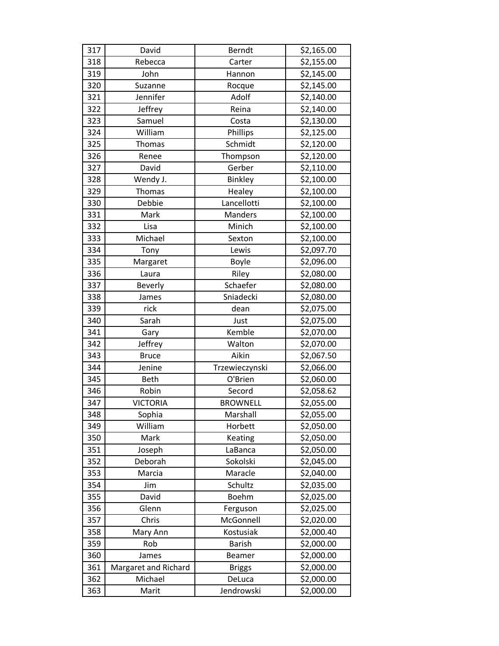| 317 | David                | Berndt          | \$2,165.00 |
|-----|----------------------|-----------------|------------|
| 318 | Rebecca              | Carter          | \$2,155.00 |
| 319 | John                 | Hannon          | \$2,145.00 |
| 320 | Suzanne              | Rocque          | \$2,145.00 |
| 321 | Jennifer             | Adolf           | \$2,140.00 |
| 322 | Jeffrey              | Reina           | \$2,140.00 |
| 323 | Samuel               | Costa           | \$2,130.00 |
| 324 | William              | Phillips        | \$2,125.00 |
| 325 | <b>Thomas</b>        | Schmidt         | \$2,120.00 |
| 326 | Renee                | Thompson        | \$2,120.00 |
| 327 | David                | Gerber          | \$2,110.00 |
| 328 | Wendy J.             | <b>Binkley</b>  | \$2,100.00 |
| 329 | <b>Thomas</b>        | Healey          | \$2,100.00 |
| 330 | Debbie               | Lancellotti     | \$2,100.00 |
| 331 | Mark                 | <b>Manders</b>  | \$2,100.00 |
| 332 | Lisa                 | Minich          | \$2,100.00 |
| 333 | Michael              | Sexton          | \$2,100.00 |
| 334 | Tony                 | Lewis           | \$2,097.70 |
| 335 | Margaret             | Boyle           | \$2,096.00 |
| 336 | Laura                | Riley           | \$2,080.00 |
| 337 | Beverly              | Schaefer        | \$2,080.00 |
| 338 | James                | Sniadecki       | \$2,080.00 |
| 339 | rick                 | dean            | \$2,075.00 |
| 340 | Sarah                | Just            | \$2,075.00 |
| 341 | Gary                 | Kemble          | \$2,070.00 |
| 342 | Jeffrey              | Walton          | \$2,070.00 |
| 343 | <b>Bruce</b>         | Aikin           | \$2,067.50 |
| 344 | Jenine               | Trzewieczynski  | \$2,066.00 |
| 345 | <b>Beth</b>          | O'Brien         | \$2,060.00 |
| 346 | Robin                | Secord          | \$2,058.62 |
| 347 | <b>VICTORIA</b>      | <b>BROWNELL</b> | \$2,055.00 |
| 348 | Sophia               | Marshall        | \$2,055.00 |
| 349 | William              | Horbett         | \$2,050.00 |
| 350 | Mark                 | Keating         | \$2,050.00 |
| 351 | Joseph               | LaBanca         | \$2,050.00 |
| 352 | Deborah              | Sokolski        | \$2,045.00 |
| 353 | Marcia               | Maracle         | \$2,040.00 |
| 354 | Jim                  | Schultz         | \$2,035.00 |
| 355 | David                | Boehm           | \$2,025.00 |
| 356 | Glenn                | Ferguson        | \$2,025.00 |
| 357 | Chris                | McGonnell       | \$2,020.00 |
| 358 | Mary Ann             | Kostusiak       | \$2,000.40 |
| 359 | Rob                  | <b>Barish</b>   | \$2,000.00 |
| 360 | James                | <b>Beamer</b>   | \$2,000.00 |
| 361 | Margaret and Richard | <b>Briggs</b>   | \$2,000.00 |
| 362 | Michael              | DeLuca          | \$2,000.00 |
| 363 | Marit                | Jendrowski      | \$2,000.00 |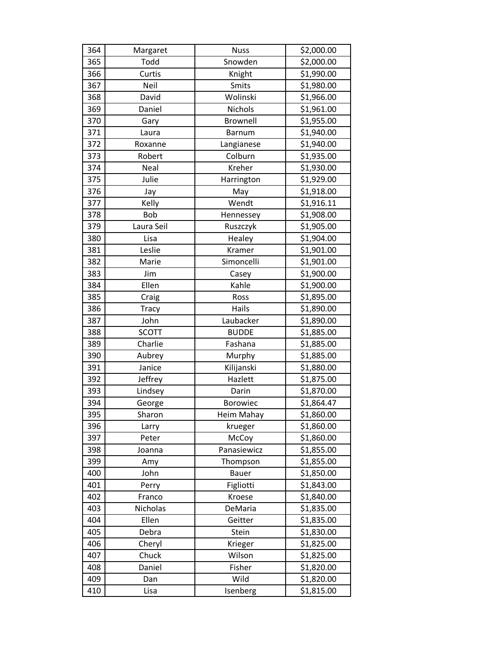| 364 | Margaret     | <b>Nuss</b>   | \$2,000.00 |
|-----|--------------|---------------|------------|
| 365 | Todd         | Snowden       | \$2,000.00 |
| 366 | Curtis       | Knight        | \$1,990.00 |
| 367 | Neil         | Smits         | \$1,980.00 |
| 368 | David        | Wolinski      | \$1,966.00 |
| 369 | Daniel       | Nichols       | \$1,961.00 |
| 370 | Gary         | Brownell      | \$1,955.00 |
| 371 | Laura        | <b>Barnum</b> | \$1,940.00 |
| 372 | Roxanne      | Langianese    | \$1,940.00 |
| 373 | Robert       | Colburn       | \$1,935.00 |
| 374 | Neal         | Kreher        | \$1,930.00 |
| 375 | Julie        | Harrington    | \$1,929.00 |
| 376 | Jay          | May           | \$1,918.00 |
| 377 | Kelly        | Wendt         | \$1,916.11 |
| 378 | <b>Bob</b>   | Hennessey     | \$1,908.00 |
| 379 | Laura Seil   | Ruszczyk      | \$1,905.00 |
| 380 | Lisa         | Healey        | \$1,904.00 |
| 381 | Leslie       | Kramer        | \$1,901.00 |
| 382 | Marie        | Simoncelli    | \$1,901.00 |
| 383 | Jim          | Casey         | \$1,900.00 |
| 384 | Ellen        | Kahle         | \$1,900.00 |
| 385 | Craig        | Ross          | \$1,895.00 |
| 386 | <b>Tracy</b> | Hails         | \$1,890.00 |
| 387 | John         | Laubacker     | \$1,890.00 |
| 388 | <b>SCOTT</b> | <b>BUDDE</b>  | \$1,885.00 |
| 389 | Charlie      | Fashana       | \$1,885.00 |
| 390 | Aubrey       | Murphy        | \$1,885.00 |
| 391 | Janice       | Kilijanski    | \$1,880.00 |
| 392 | Jeffrey      | Hazlett       | \$1,875.00 |
| 393 | Lindsey      | Darin         | \$1,870.00 |
| 394 | George       | Borowiec      | \$1,864.47 |
| 395 | Sharon       | Heim Mahay    | \$1,860.00 |
| 396 | Larry        | krueger       | \$1,860.00 |
| 397 | Peter        | McCoy         | \$1,860.00 |
| 398 | Joanna       | Panasiewicz   | \$1,855.00 |
| 399 | Amy          | Thompson      | \$1,855.00 |
| 400 | John         | <b>Bauer</b>  | \$1,850.00 |
| 401 | Perry        | Figliotti     | \$1,843.00 |
| 402 | Franco       | Kroese        | \$1,840.00 |
| 403 | Nicholas     | DeMaria       | \$1,835.00 |
| 404 | Ellen        | Geitter       | \$1,835.00 |
| 405 | Debra        | Stein         | \$1,830.00 |
| 406 | Cheryl       | Krieger       | \$1,825.00 |
| 407 | Chuck        | Wilson        | \$1,825.00 |
| 408 | Daniel       | Fisher        | \$1,820.00 |
| 409 | Dan          | Wild          | \$1,820.00 |
| 410 | Lisa         | Isenberg      | \$1,815.00 |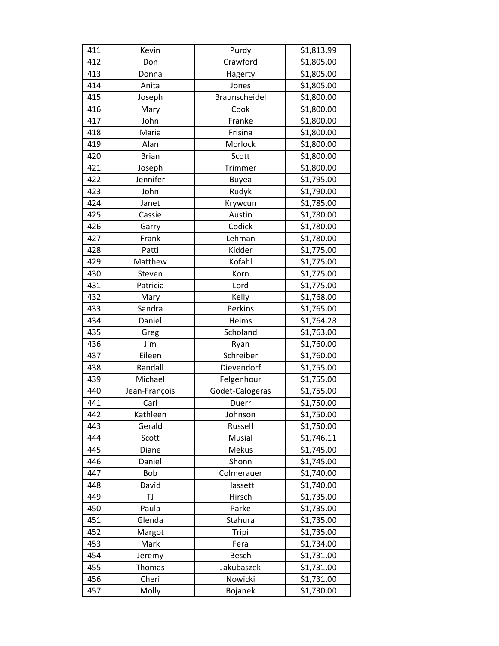| 411 | Kevin         | Purdy           | \$1,813.99 |
|-----|---------------|-----------------|------------|
| 412 | Don           | Crawford        | \$1,805.00 |
| 413 | Donna         | Hagerty         | \$1,805.00 |
| 414 | Anita         | Jones           | \$1,805.00 |
| 415 | Joseph        | Braunscheidel   | \$1,800.00 |
| 416 | Mary          | Cook            | \$1,800.00 |
| 417 | John          | Franke          | \$1,800.00 |
| 418 | Maria         | Frisina         | \$1,800.00 |
| 419 | Alan          | Morlock         | \$1,800.00 |
| 420 | <b>Brian</b>  | Scott           | \$1,800.00 |
| 421 | Joseph        | Trimmer         | \$1,800.00 |
| 422 | Jennifer      | <b>Buyea</b>    | \$1,795.00 |
| 423 | John          | Rudyk           | \$1,790.00 |
| 424 | Janet         | Krywcun         | \$1,785.00 |
| 425 | Cassie        | Austin          | \$1,780.00 |
| 426 | Garry         | Codick          | \$1,780.00 |
| 427 | Frank         | Lehman          | \$1,780.00 |
| 428 | Patti         | Kidder          | \$1,775.00 |
| 429 | Matthew       | Kofahl          | \$1,775.00 |
| 430 | Steven        | Korn            | \$1,775.00 |
| 431 | Patricia      | Lord            | \$1,775.00 |
| 432 | Mary          | Kelly           | \$1,768.00 |
| 433 | Sandra        | Perkins         | \$1,765.00 |
| 434 | Daniel        | Heims           | \$1,764.28 |
| 435 | Greg          | Scholand        | \$1,763.00 |
| 436 | Jim           | Ryan            | \$1,760.00 |
| 437 | Eileen        | Schreiber       | \$1,760.00 |
| 438 | Randall       | Dievendorf      | \$1,755.00 |
| 439 | Michael       | Felgenhour      | \$1,755.00 |
| 440 | Jean-François | Godet-Calogeras | \$1,755.00 |
| 441 | Carl          | Duerr           | \$1,750.00 |
| 442 | Kathleen      | Johnson         | \$1,750.00 |
| 443 | Gerald        | Russell         | \$1,750.00 |
| 444 | Scott         | Musial          | \$1,746.11 |
| 445 | Diane         | Mekus           | \$1,745.00 |
| 446 | Daniel        | Shonn           | \$1,745.00 |
| 447 | Bob           | Colmerauer      | \$1,740.00 |
| 448 | David         | Hassett         | \$1,740.00 |
| 449 | TJ            | Hirsch          | \$1,735.00 |
| 450 | Paula         | Parke           | \$1,735.00 |
| 451 | Glenda        | Stahura         | \$1,735.00 |
| 452 | Margot        | Tripi           | \$1,735.00 |
| 453 | Mark          | Fera            | \$1,734.00 |
| 454 | Jeremy        | Besch           | \$1,731.00 |
| 455 | <b>Thomas</b> | Jakubaszek      | \$1,731.00 |
| 456 | Cheri         | Nowicki         | \$1,731.00 |
| 457 | Molly         | Bojanek         | \$1,730.00 |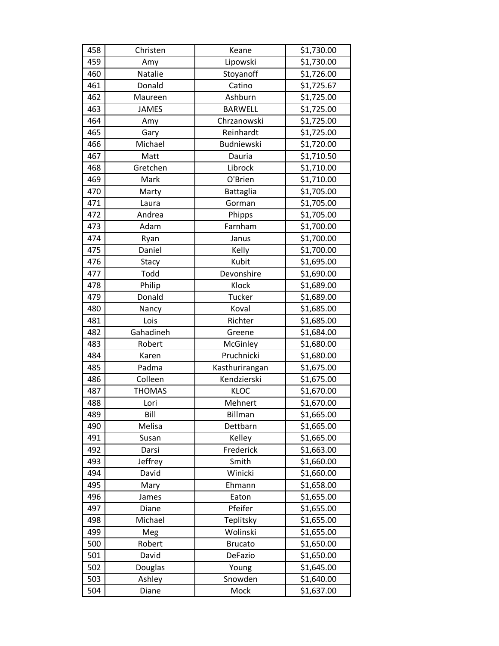| 458 | Christen      | Keane             | \$1,730.00 |
|-----|---------------|-------------------|------------|
| 459 | Amy           | Lipowski          | \$1,730.00 |
| 460 | Natalie       | Stoyanoff         | \$1,726.00 |
| 461 | Donald        | Catino            | \$1,725.67 |
| 462 | Maureen       | Ashburn           | \$1,725.00 |
| 463 | <b>JAMES</b>  | <b>BARWELL</b>    | \$1,725.00 |
| 464 | Amy           | Chrzanowski       | \$1,725.00 |
| 465 | Gary          | Reinhardt         | \$1,725.00 |
| 466 | Michael       | <b>Budniewski</b> | \$1,720.00 |
| 467 | Matt          | Dauria            | \$1,710.50 |
| 468 | Gretchen      | Librock           | \$1,710.00 |
| 469 | Mark          | O'Brien           | \$1,710.00 |
| 470 | Marty         | <b>Battaglia</b>  | \$1,705.00 |
| 471 | Laura         | Gorman            | \$1,705.00 |
| 472 | Andrea        | Phipps            | \$1,705.00 |
| 473 | Adam          | Farnham           | \$1,700.00 |
| 474 | Ryan          | Janus             | \$1,700.00 |
| 475 | Daniel        | Kelly             | \$1,700.00 |
| 476 | Stacy         | <b>Kubit</b>      | \$1,695.00 |
| 477 | Todd          | Devonshire        | \$1,690.00 |
| 478 | Philip        | Klock             | \$1,689.00 |
| 479 | Donald        | Tucker            | \$1,689.00 |
| 480 | Nancy         | Koval             | \$1,685.00 |
| 481 | Lois          | Richter           | \$1,685.00 |
| 482 | Gahadineh     | Greene            | \$1,684.00 |
| 483 | Robert        | McGinley          | \$1,680.00 |
| 484 | Karen         | Pruchnicki        | \$1,680.00 |
| 485 | Padma         | Kasthurirangan    | \$1,675.00 |
| 486 | Colleen       | Kendzierski       | \$1,675.00 |
| 487 | <b>THOMAS</b> | <b>KLOC</b>       | \$1,670.00 |
| 488 | Lori          | Mehnert           | \$1,670.00 |
| 489 | Bill          | <b>Billman</b>    | \$1,665.00 |
| 490 | Melisa        | Dettbarn          | \$1,665.00 |
| 491 | Susan         | Kelley            | \$1,665.00 |
| 492 | Darsi         | Frederick         | \$1,663.00 |
| 493 | Jeffrey       | Smith             | \$1,660.00 |
| 494 | David         | Winicki           | \$1,660.00 |
| 495 | Mary          | Ehmann            | \$1,658.00 |
| 496 | James         | Eaton             | \$1,655.00 |
| 497 | Diane         | Pfeifer           | \$1,655.00 |
| 498 | Michael       | Teplitsky         | \$1,655.00 |
| 499 | Meg           | Wolinski          | \$1,655.00 |
| 500 | Robert        | <b>Brucato</b>    | \$1,650.00 |
| 501 | David         | DeFazio           | \$1,650.00 |
| 502 | Douglas       | Young             | \$1,645.00 |
| 503 | Ashley        | Snowden           | \$1,640.00 |
| 504 | Diane         | Mock              | \$1,637.00 |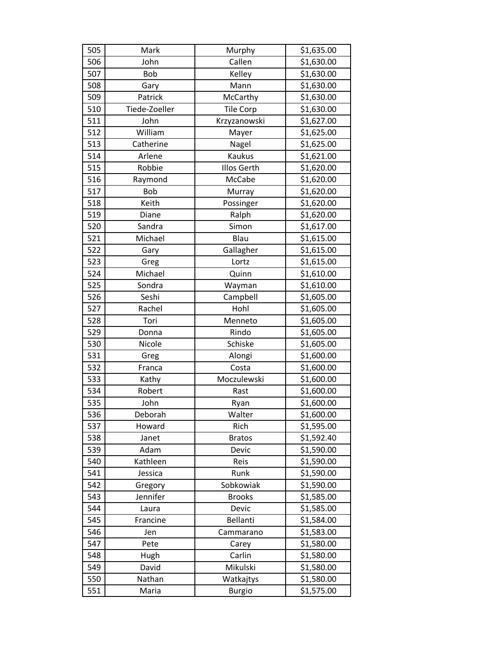| 505 | Mark          | Murphy             | \$1,635.00 |
|-----|---------------|--------------------|------------|
| 506 | John          | Callen             | \$1,630.00 |
| 507 | <b>Bob</b>    | Kelley             | \$1,630.00 |
| 508 | Gary          | Mann               | \$1,630.00 |
| 509 | Patrick       | McCarthy           | \$1,630.00 |
| 510 | Tiede-Zoeller | <b>Tile Corp</b>   | \$1,630.00 |
| 511 | John          | Krzyzanowski       | \$1,627.00 |
| 512 | William       | Mayer              | \$1,625.00 |
| 513 | Catherine     | Nagel              | \$1,625.00 |
| 514 | Arlene        | Kaukus             | \$1,621.00 |
| 515 | Robbie        | <b>Illos Gerth</b> | \$1,620.00 |
| 516 | Raymond       | McCabe             | \$1,620.00 |
| 517 | <b>Bob</b>    | Murray             | \$1,620.00 |
| 518 | Keith         | Possinger          | \$1,620.00 |
| 519 | Diane         | Ralph              | \$1,620.00 |
| 520 | Sandra        | Simon              | \$1,617.00 |
| 521 | Michael       | Blau               | \$1,615.00 |
| 522 | Gary          | Gallagher          | \$1,615.00 |
| 523 | Greg          | Lortz              | \$1,615.00 |
| 524 | Michael       | Quinn              | \$1,610.00 |
| 525 | Sondra        | Wayman             | \$1,610.00 |
| 526 | Seshi         | Campbell           | \$1,605.00 |
| 527 | Rachel        | Hohl               | \$1,605.00 |
| 528 | Tori          | Menneto            | \$1,605.00 |
| 529 | Donna         | Rindo              | \$1,605.00 |
| 530 | Nicole        | Schiske            | \$1,605.00 |
| 531 | Greg          | Alongi             | \$1,600.00 |
| 532 | Franca        | Costa              | \$1,600.00 |
| 533 | Kathy         | Moczulewski        | \$1,600.00 |
| 534 | Robert        | Rast               | \$1,600.00 |
| 535 | John          | Ryan               | \$1,600.00 |
| 536 | Deborah       | Walter             | \$1,600.00 |
| 537 | Howard        | Rich               | \$1,595.00 |
| 538 | Janet         | <b>Bratos</b>      | \$1,592.40 |
| 539 | Adam          | Devic              | \$1,590.00 |
| 540 | Kathleen      | Reis               | \$1,590.00 |
| 541 | Jessica       | Runk               | \$1,590.00 |
| 542 | Gregory       | Sobkowiak          | \$1,590.00 |
| 543 | Jennifer      | <b>Brooks</b>      | \$1,585.00 |
| 544 | Laura         | Devic              | \$1,585.00 |
| 545 | Francine      | Bellanti           | \$1,584.00 |
| 546 | Jen           | Cammarano          | \$1,583.00 |
| 547 | Pete          | Carey              | \$1,580.00 |
| 548 | Hugh          | Carlin             | \$1,580.00 |
| 549 | David         | Mikulski           | \$1,580.00 |
| 550 | Nathan        | Watkajtys          | \$1,580.00 |
| 551 | Maria         | <b>Burgio</b>      | \$1,575.00 |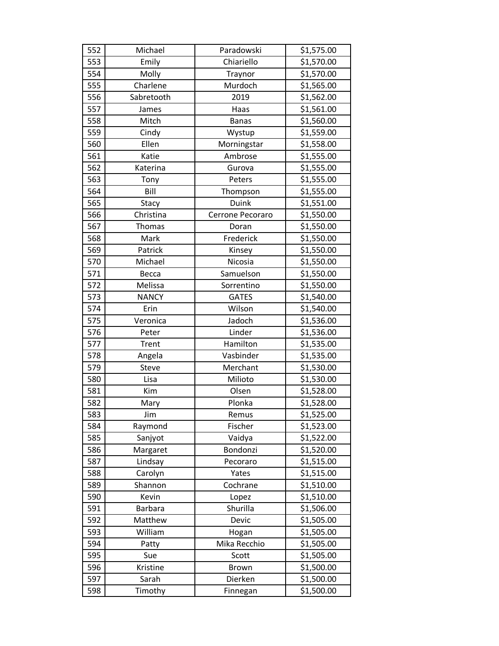| 552 | Michael        | Paradowski       | \$1,575.00 |
|-----|----------------|------------------|------------|
| 553 | Emily          | Chiariello       | \$1,570.00 |
| 554 | Molly          | Traynor          | \$1,570.00 |
| 555 | Charlene       | Murdoch          | \$1,565.00 |
| 556 | Sabretooth     | 2019             | \$1,562.00 |
| 557 | James          | Haas             | \$1,561.00 |
| 558 | Mitch          | <b>Banas</b>     | \$1,560.00 |
| 559 | Cindy          | Wystup           | \$1,559.00 |
| 560 | Ellen          | Morningstar      | \$1,558.00 |
| 561 | Katie          | Ambrose          | \$1,555.00 |
| 562 | Katerina       | Gurova           | \$1,555.00 |
| 563 | Tony           | Peters           | \$1,555.00 |
| 564 | Bill           | Thompson         | \$1,555.00 |
| 565 | Stacy          | Duink            | \$1,551.00 |
| 566 | Christina      | Cerrone Pecoraro | \$1,550.00 |
| 567 | Thomas         | Doran            | \$1,550.00 |
| 568 | Mark           | Frederick        | \$1,550.00 |
| 569 | Patrick        | Kinsey           | \$1,550.00 |
| 570 | Michael        | Nicosia          | \$1,550.00 |
| 571 | Becca          | Samuelson        | \$1,550.00 |
| 572 | Melissa        | Sorrentino       | \$1,550.00 |
| 573 | <b>NANCY</b>   | <b>GATES</b>     | \$1,540.00 |
| 574 | Erin           | Wilson           | \$1,540.00 |
| 575 | Veronica       | Jadoch           | \$1,536.00 |
| 576 | Peter          | Linder           | \$1,536.00 |
| 577 | Trent          | Hamilton         | \$1,535.00 |
| 578 | Angela         | Vasbinder        | \$1,535.00 |
| 579 | Steve          | Merchant         | \$1,530.00 |
| 580 | Lisa           | Milioto          | \$1,530.00 |
| 581 | Kim            | Olsen            | \$1,528.00 |
| 582 | Mary           | Plonka           | \$1,528.00 |
| 583 | Jim            | Remus            | \$1,525.00 |
| 584 | Raymond        | Fischer          | \$1,523.00 |
| 585 | Sanjyot        | Vaidya           | \$1,522.00 |
| 586 | Margaret       | Bondonzi         | \$1,520.00 |
| 587 | Lindsay        | Pecoraro         | \$1,515.00 |
| 588 | Carolyn        | Yates            | \$1,515.00 |
| 589 | Shannon        | Cochrane         | \$1,510.00 |
| 590 | Kevin          | Lopez            | \$1,510.00 |
| 591 | <b>Barbara</b> | Shurilla         | \$1,506.00 |
| 592 | Matthew        | Devic            | \$1,505.00 |
| 593 | William        | Hogan            | \$1,505.00 |
| 594 | Patty          | Mika Recchio     | \$1,505.00 |
| 595 | Sue            | Scott            | \$1,505.00 |
| 596 | Kristine       | <b>Brown</b>     | \$1,500.00 |
| 597 | Sarah          | Dierken          | \$1,500.00 |
| 598 | Timothy        | Finnegan         | \$1,500.00 |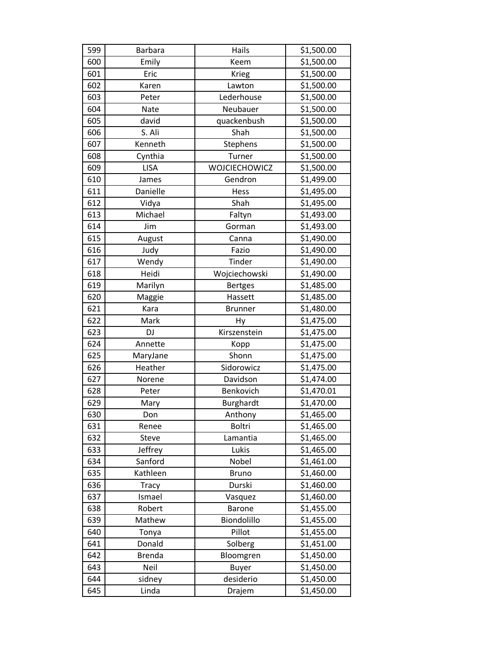| 599 | <b>Barbara</b> | Hails          | \$1,500.00 |
|-----|----------------|----------------|------------|
| 600 | Emily          | Keem           | \$1,500.00 |
| 601 | Eric           | Krieg          | \$1,500.00 |
| 602 | Karen          | Lawton         | \$1,500.00 |
| 603 | Peter          | Lederhouse     | \$1,500.00 |
| 604 | Nate           | Neubauer       | \$1,500.00 |
| 605 | david          | quackenbush    | \$1,500.00 |
| 606 | S. Ali         | Shah           | \$1,500.00 |
| 607 | Kenneth        | Stephens       | \$1,500.00 |
| 608 | Cynthia        | Turner         | \$1,500.00 |
| 609 | <b>LISA</b>    | WOJCIECHOWICZ  | \$1,500.00 |
| 610 | James          | Gendron        | \$1,499.00 |
| 611 | Danielle       | Hess           | \$1,495.00 |
| 612 | Vidya          | Shah           | \$1,495.00 |
| 613 | Michael        | Faltyn         | \$1,493.00 |
| 614 | Jim            | Gorman         | \$1,493.00 |
| 615 | August         | Canna          | \$1,490.00 |
| 616 | Judy           | Fazio          | \$1,490.00 |
| 617 | Wendy          | Tinder         | \$1,490.00 |
| 618 | Heidi          | Wojciechowski  | \$1,490.00 |
| 619 | Marilyn        | <b>Bertges</b> | \$1,485.00 |
| 620 | Maggie         | Hassett        | \$1,485.00 |
| 621 | Kara           | <b>Brunner</b> | \$1,480.00 |
| 622 | Mark           | Hy             | \$1,475.00 |
| 623 | DJ             | Kirszenstein   | \$1,475.00 |
| 624 | Annette        | Kopp           | \$1,475.00 |
| 625 | MaryJane       | Shonn          | \$1,475.00 |
| 626 | Heather        | Sidorowicz     | \$1,475.00 |
| 627 | Norene         | Davidson       | \$1,474.00 |
| 628 | Peter          | Benkovich      | \$1,470.01 |
| 629 | Mary           | Burghardt      | \$1,470.00 |
| 630 | Don            | Anthony        | \$1,465.00 |
| 631 | Renee          | <b>Boltri</b>  | \$1,465.00 |
| 632 | Steve          | Lamantia       | \$1,465.00 |
| 633 | Jeffrey        | Lukis          | \$1,465.00 |
| 634 | Sanford        | Nobel          | \$1,461.00 |
| 635 | Kathleen       | <b>Bruno</b>   | \$1,460.00 |
| 636 | <b>Tracy</b>   | Durski         | \$1,460.00 |
| 637 | Ismael         | Vasquez        | \$1,460.00 |
| 638 | Robert         | <b>Barone</b>  | \$1,455.00 |
| 639 | Mathew         | Biondolillo    | \$1,455.00 |
| 640 | Tonya          | Pillot         | \$1,455.00 |
| 641 | Donald         | Solberg        | \$1,451.00 |
| 642 | <b>Brenda</b>  | Bloomgren      | \$1,450.00 |
| 643 | Neil           | <b>Buyer</b>   | \$1,450.00 |
| 644 | sidney         | desiderio      | \$1,450.00 |
| 645 | Linda          | Drajem         | \$1,450.00 |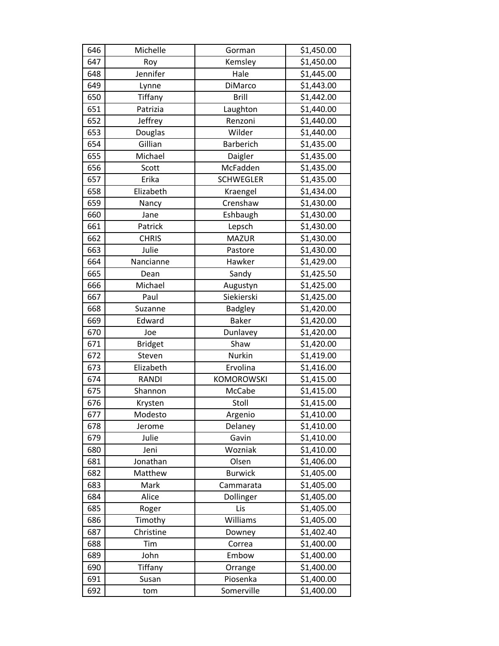| 646 | Michelle       | Gorman            | \$1,450.00 |
|-----|----------------|-------------------|------------|
| 647 | Roy            | Kemsley           | \$1,450.00 |
| 648 | Jennifer       | Hale              | \$1,445.00 |
| 649 | Lynne          | DiMarco           | \$1,443.00 |
| 650 | Tiffany        | <b>Brill</b>      | \$1,442.00 |
| 651 | Patrizia       | Laughton          | \$1,440.00 |
| 652 | Jeffrey        | Renzoni           | \$1,440.00 |
| 653 | Douglas        | Wilder            | \$1,440.00 |
| 654 | Gillian        | Barberich         | \$1,435.00 |
| 655 | Michael        | Daigler           | \$1,435.00 |
| 656 | Scott          | McFadden          | \$1,435.00 |
| 657 | Erika          | <b>SCHWEGLER</b>  | \$1,435.00 |
| 658 | Elizabeth      | Kraengel          | \$1,434.00 |
| 659 | Nancy          | Crenshaw          | \$1,430.00 |
| 660 | Jane           | Eshbaugh          | \$1,430.00 |
| 661 | Patrick        | Lepsch            | \$1,430.00 |
| 662 | <b>CHRIS</b>   | <b>MAZUR</b>      | \$1,430.00 |
| 663 | Julie          | Pastore           | \$1,430.00 |
| 664 | Nancianne      | Hawker            | \$1,429.00 |
| 665 | Dean           | Sandy             | \$1,425.50 |
| 666 | Michael        | Augustyn          | \$1,425.00 |
| 667 | Paul           | Siekierski        | \$1,425.00 |
| 668 | Suzanne        | Badgley           | \$1,420.00 |
| 669 | Edward         | <b>Baker</b>      | \$1,420.00 |
| 670 | Joe            | Dunlavey          | \$1,420.00 |
| 671 | <b>Bridget</b> | Shaw              | \$1,420.00 |
| 672 | Steven         | Nurkin            | \$1,419.00 |
| 673 | Elizabeth      | Ervolina          | \$1,416.00 |
| 674 | <b>RANDI</b>   | <b>KOMOROWSKI</b> | \$1,415.00 |
| 675 | Shannon        | McCabe            | \$1,415.00 |
| 676 | Krysten        | Stoll             | \$1,415.00 |
| 677 | Modesto        | Argenio           | \$1,410.00 |
| 678 | Jerome         | Delaney           | \$1,410.00 |
| 679 | Julie          | Gavin             | \$1,410.00 |
| 680 | Jeni           | Wozniak           | \$1,410.00 |
| 681 | Jonathan       | Olsen             | \$1,406.00 |
| 682 | Matthew        | <b>Burwick</b>    | \$1,405.00 |
| 683 | Mark           | Cammarata         | \$1,405.00 |
| 684 | Alice          | Dollinger         | \$1,405.00 |
| 685 | Roger          | Lis               | \$1,405.00 |
| 686 | Timothy        | Williams          | \$1,405.00 |
| 687 | Christine      | Downey            | \$1,402.40 |
| 688 | Tim            | Correa            | \$1,400.00 |
| 689 | John           | Embow             | \$1,400.00 |
| 690 | Tiffany        | Orrange           | \$1,400.00 |
| 691 | Susan          | Piosenka          | \$1,400.00 |
| 692 | tom            | Somerville        | \$1,400.00 |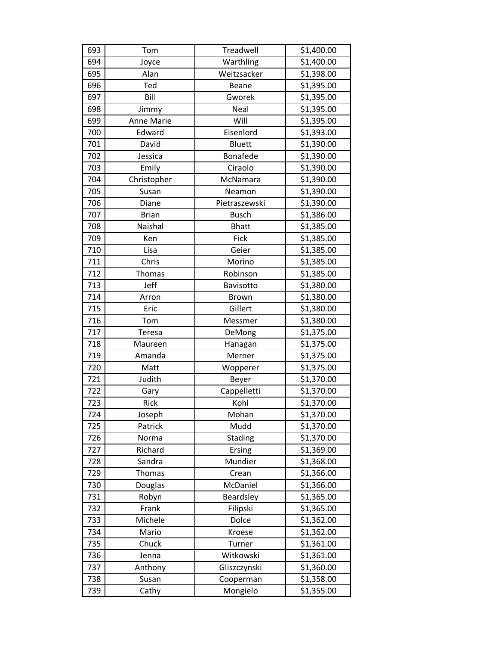| 693 | Tom               | Treadwell     | \$1,400.00 |
|-----|-------------------|---------------|------------|
| 694 | Joyce             | Warthling     | \$1,400.00 |
| 695 | Alan              | Weitzsacker   | \$1,398.00 |
| 696 | Ted               | Beane         | \$1,395.00 |
| 697 | Bill              | Gworek        | \$1,395.00 |
| 698 | Jimmy             | Neal          | \$1,395.00 |
| 699 | <b>Anne Marie</b> | Will          | \$1,395.00 |
| 700 | Edward            | Eisenlord     | \$1,393.00 |
| 701 | David             | <b>Bluett</b> | \$1,390.00 |
| 702 | Jessica           | Bonafede      | \$1,390.00 |
| 703 | Emily             | Ciraolo       | \$1,390.00 |
| 704 | Christopher       | McNamara      | \$1,390.00 |
| 705 | Susan             | Neamon        | \$1,390.00 |
| 706 | Diane             | Pietraszewski | \$1,390.00 |
| 707 | <b>Brian</b>      | <b>Busch</b>  | \$1,386.00 |
| 708 | Naishal           | <b>Bhatt</b>  | \$1,385.00 |
| 709 | Ken               | Fick          | \$1,385.00 |
| 710 | Lisa              | Geier         | \$1,385.00 |
| 711 | Chris             | Morino        | \$1,385.00 |
| 712 | Thomas            | Robinson      | \$1,385.00 |
| 713 | Jeff              | Bavisotto     | \$1,380.00 |
| 714 | Arron             | <b>Brown</b>  | \$1,380.00 |
| 715 | Eric              | Gillert       | \$1,380.00 |
| 716 | Tom               | Messmer       | \$1,380.00 |
| 717 | Teresa            | DeMong        | \$1,375.00 |
| 718 | Maureen           | Hanagan       | \$1,375.00 |
| 719 | Amanda            | Merner        | \$1,375.00 |
| 720 | Matt              | Wopperer      | \$1,375.00 |
| 721 | Judith            | Beyer         | \$1,370.00 |
| 722 | Gary              | Cappelletti   | \$1,370.00 |
| 723 | Rick              | Kohl          | \$1,370.00 |
| 724 | Joseph            | Mohan         | \$1,370.00 |
| 725 | Patrick           | Mudd          | \$1,370.00 |
| 726 | Norma             | Stading       | \$1,370.00 |
| 727 | Richard           | Ersing        | \$1,369.00 |
| 728 | Sandra            | Mundier       | \$1,368.00 |
| 729 | <b>Thomas</b>     | Crean         | \$1,366.00 |
| 730 | Douglas           | McDaniel      | \$1,366.00 |
| 731 | Robyn             | Beardsley     | \$1,365.00 |
| 732 | Frank             | Filipski      | \$1,365.00 |
| 733 | Michele           | Dolce         | \$1,362.00 |
| 734 | Mario             | Kroese        | \$1,362.00 |
| 735 | Chuck             | Turner        | \$1,361.00 |
| 736 | Jenna             | Witkowski     | \$1,361.00 |
| 737 | Anthony           | Gliszczynski  | \$1,360.00 |
| 738 | Susan             | Cooperman     | \$1,358.00 |
| 739 | Cathy             | Mongielo      | \$1,355.00 |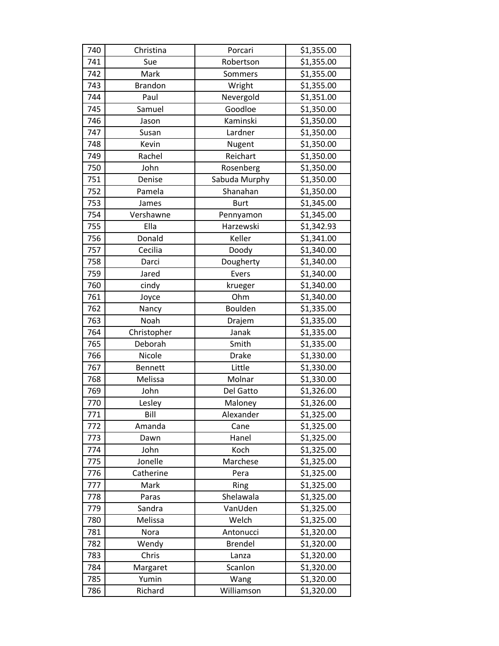| 740 | Christina      | Porcari        | \$1,355.00 |
|-----|----------------|----------------|------------|
| 741 | Sue            | Robertson      | \$1,355.00 |
| 742 | Mark           | Sommers        | \$1,355.00 |
| 743 | <b>Brandon</b> | Wright         | \$1,355.00 |
| 744 | Paul           | Nevergold      | \$1,351.00 |
| 745 | Samuel         | Goodloe        | \$1,350.00 |
| 746 | Jason          | Kaminski       | \$1,350.00 |
| 747 | Susan          | Lardner        | \$1,350.00 |
| 748 | Kevin          | Nugent         | \$1,350.00 |
| 749 | Rachel         | Reichart       | \$1,350.00 |
| 750 | John           | Rosenberg      | \$1,350.00 |
| 751 | Denise         | Sabuda Murphy  | \$1,350.00 |
| 752 | Pamela         | Shanahan       | \$1,350.00 |
| 753 | James          | <b>Burt</b>    | \$1,345.00 |
| 754 | Vershawne      | Pennyamon      | \$1,345.00 |
| 755 | Ella           | Harzewski      | \$1,342.93 |
| 756 | Donald         | Keller         | \$1,341.00 |
| 757 | Cecilia        | Doody          | \$1,340.00 |
| 758 | Darci          | Dougherty      | \$1,340.00 |
| 759 | Jared          | Evers          | \$1,340.00 |
| 760 | cindy          | krueger        | \$1,340.00 |
| 761 | Joyce          | Ohm            | \$1,340.00 |
| 762 | Nancy          | Boulden        | \$1,335.00 |
| 763 | Noah           | Drajem         | \$1,335.00 |
| 764 | Christopher    | Janak          | \$1,335.00 |
| 765 | Deborah        | Smith          | \$1,335.00 |
| 766 | Nicole         | <b>Drake</b>   | \$1,330.00 |
| 767 | <b>Bennett</b> | Little         | \$1,330.00 |
| 768 | Melissa        | Molnar         | \$1,330.00 |
| 769 | John           | Del Gatto      | \$1,326.00 |
| 770 | Lesley         | Maloney        | \$1,326.00 |
| 771 | Bill           | Alexander      | \$1,325.00 |
| 772 | Amanda         | Cane           | \$1,325.00 |
| 773 | Dawn           | Hanel          | \$1,325.00 |
| 774 | John           | Koch           | \$1,325.00 |
| 775 | Jonelle        | Marchese       | \$1,325.00 |
| 776 | Catherine      | Pera           | \$1,325.00 |
| 777 | Mark           | Ring           | \$1,325.00 |
| 778 | Paras          | Shelawala      | \$1,325.00 |
| 779 | Sandra         | VanUden        | \$1,325.00 |
| 780 | Melissa        | Welch          | \$1,325.00 |
| 781 | Nora           | Antonucci      | \$1,320.00 |
| 782 | Wendy          | <b>Brendel</b> | \$1,320.00 |
| 783 | Chris          | Lanza          | \$1,320.00 |
| 784 | Margaret       | Scanlon        | \$1,320.00 |
| 785 | Yumin          | Wang           | \$1,320.00 |
| 786 | Richard        | Williamson     | \$1,320.00 |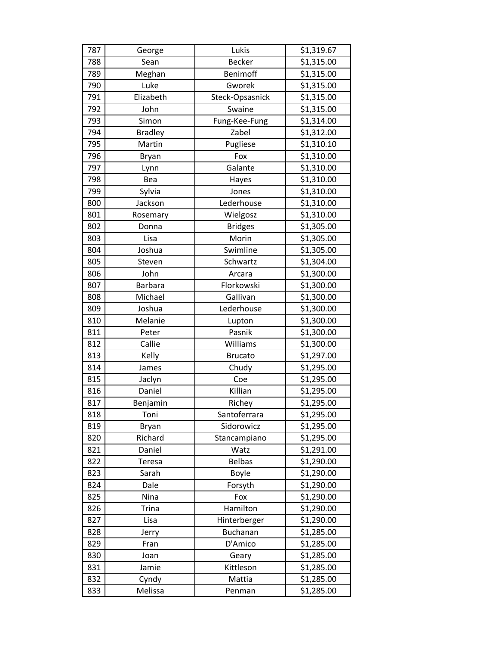| 787 | George         | Lukis           | \$1,319.67 |
|-----|----------------|-----------------|------------|
| 788 | Sean           | <b>Becker</b>   | \$1,315.00 |
| 789 | Meghan         | Benimoff        | \$1,315.00 |
| 790 | Luke           | Gworek          | \$1,315.00 |
| 791 | Elizabeth      | Steck-Opsasnick | \$1,315.00 |
| 792 | John           | Swaine          | \$1,315.00 |
| 793 | Simon          | Fung-Kee-Fung   | \$1,314.00 |
| 794 | <b>Bradley</b> | Zabel           | \$1,312.00 |
| 795 | Martin         | Pugliese        | \$1,310.10 |
| 796 | <b>Bryan</b>   | Fox             | \$1,310.00 |
| 797 | Lynn           | Galante         | \$1,310.00 |
| 798 | Bea            | Hayes           | \$1,310.00 |
| 799 | Sylvia         | Jones           | \$1,310.00 |
| 800 | Jackson        | Lederhouse      | \$1,310.00 |
| 801 | Rosemary       | Wielgosz        | \$1,310.00 |
| 802 | Donna          | <b>Bridges</b>  | \$1,305.00 |
| 803 | Lisa           | Morin           | \$1,305.00 |
| 804 | Joshua         | Swimline        | \$1,305.00 |
| 805 | Steven         | Schwartz        | \$1,304.00 |
| 806 | John           | Arcara          | \$1,300.00 |
| 807 | <b>Barbara</b> | Florkowski      | \$1,300.00 |
| 808 | Michael        | Gallivan        | \$1,300.00 |
| 809 | Joshua         | Lederhouse      | \$1,300.00 |
| 810 | Melanie        | Lupton          | \$1,300.00 |
| 811 | Peter          | Pasnik          | \$1,300.00 |
| 812 | Callie         | Williams        | \$1,300.00 |
| 813 | Kelly          | <b>Brucato</b>  | \$1,297.00 |
| 814 | James          | Chudy           | \$1,295.00 |
| 815 | Jaclyn         | Coe             | \$1,295.00 |
| 816 | Daniel         | Killian         | \$1,295.00 |
| 817 | Benjamin       | Richey          | \$1,295.00 |
| 818 | Toni           | Santoferrara    | \$1,295.00 |
| 819 | <b>Bryan</b>   | Sidorowicz      | \$1,295.00 |
| 820 | Richard        | Stancampiano    | \$1,295.00 |
| 821 | Daniel         | Watz            | \$1,291.00 |
| 822 | Teresa         | <b>Belbas</b>   | \$1,290.00 |
| 823 | Sarah          | Boyle           | \$1,290.00 |
| 824 | Dale           | Forsyth         | \$1,290.00 |
| 825 | Nina           | Fox             | \$1,290.00 |
| 826 | <b>Trina</b>   | Hamilton        | \$1,290.00 |
| 827 | Lisa           | Hinterberger    | \$1,290.00 |
| 828 | Jerry          | Buchanan        | \$1,285.00 |
| 829 | Fran           | D'Amico         | \$1,285.00 |
| 830 | Joan           | Geary           | \$1,285.00 |
| 831 | Jamie          | Kittleson       | \$1,285.00 |
| 832 | Cyndy          | Mattia          | \$1,285.00 |
| 833 | Melissa        | Penman          | \$1,285.00 |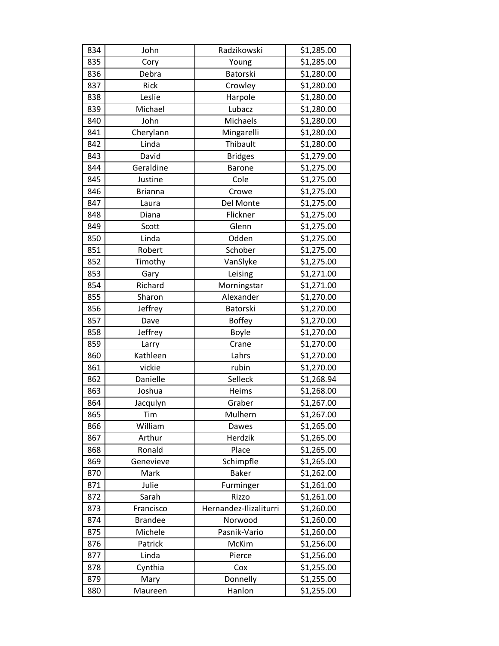| 834 | John           | Radzikowski            | \$1,285.00 |
|-----|----------------|------------------------|------------|
| 835 | Cory           | Young                  | \$1,285.00 |
| 836 | Debra          | Batorski               | \$1,280.00 |
| 837 | Rick           | Crowley                | \$1,280.00 |
| 838 | Leslie         | Harpole                | \$1,280.00 |
| 839 | Michael        | Lubacz                 | \$1,280.00 |
| 840 | John           | Michaels               | \$1,280.00 |
| 841 | Cherylann      | Mingarelli             | \$1,280.00 |
| 842 | Linda          | Thibault               | \$1,280.00 |
| 843 | David          | <b>Bridges</b>         | \$1,279.00 |
| 844 | Geraldine      | <b>Barone</b>          | \$1,275.00 |
| 845 | Justine        | Cole                   | \$1,275.00 |
| 846 | <b>Brianna</b> | Crowe                  | \$1,275.00 |
| 847 | Laura          | Del Monte              | \$1,275.00 |
| 848 | Diana          | Flickner               | \$1,275.00 |
| 849 | Scott          | Glenn                  | \$1,275.00 |
| 850 | Linda          | Odden                  | \$1,275.00 |
| 851 | Robert         | Schober                | \$1,275.00 |
| 852 | Timothy        | VanSlyke               | \$1,275.00 |
| 853 | Gary           | Leising                | \$1,271.00 |
| 854 | Richard        | Morningstar            | \$1,271.00 |
| 855 | Sharon         | Alexander              | \$1,270.00 |
| 856 | Jeffrey        | Batorski               | \$1,270.00 |
| 857 | Dave           | <b>Boffey</b>          | \$1,270.00 |
| 858 | Jeffrey        | Boyle                  | \$1,270.00 |
| 859 | Larry          | Crane                  | \$1,270.00 |
| 860 | Kathleen       | Lahrs                  | \$1,270.00 |
| 861 | vickie         | rubin                  | \$1,270.00 |
| 862 | Danielle       | Selleck                | \$1,268.94 |
| 863 | Joshua         | Heims                  | \$1,268.00 |
| 864 | Jacqulyn       | Graber                 | \$1,267.00 |
| 865 | Tim            | Mulhern                | \$1,267.00 |
| 866 | William        | Dawes                  | \$1,265.00 |
| 867 | Arthur         | Herdzik                | \$1,265.00 |
| 868 | Ronald         | Place                  | \$1,265.00 |
| 869 | Genevieve      | Schimpfle              | \$1,265.00 |
| 870 | Mark           | <b>Baker</b>           | \$1,262.00 |
| 871 | Julie          | Furminger              | \$1,261.00 |
| 872 | Sarah          | Rizzo                  | \$1,261.00 |
| 873 | Francisco      | Hernandez-Ilizaliturri | \$1,260.00 |
| 874 | <b>Brandee</b> | Norwood                | \$1,260.00 |
| 875 | Michele        | Pasnik-Vario           | \$1,260.00 |
| 876 | Patrick        | McKim                  | \$1,256.00 |
| 877 | Linda          | Pierce                 | \$1,256.00 |
| 878 | Cynthia        | Cox                    | \$1,255.00 |
| 879 | Mary           | Donnelly               | \$1,255.00 |
| 880 | Maureen        | Hanlon                 | \$1,255.00 |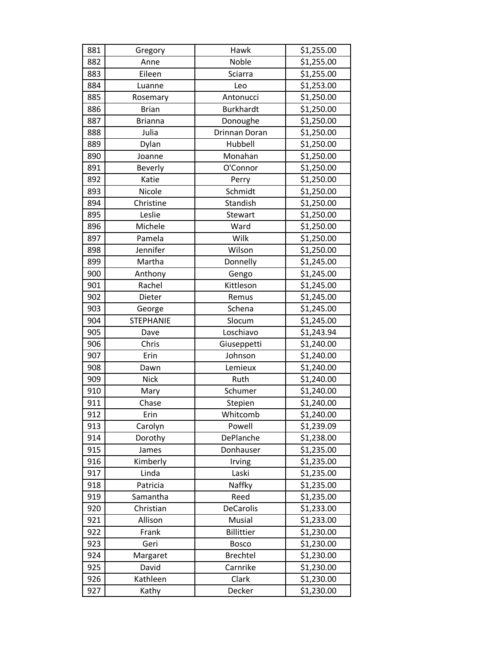| 881 | Gregory          | Hawk                 | \$1,255.00 |
|-----|------------------|----------------------|------------|
| 882 | Anne             | Noble                | \$1,255.00 |
| 883 | Eileen           | Sciarra              | \$1,255.00 |
| 884 | Luanne           | Leo                  | \$1,253.00 |
| 885 | Rosemary         | Antonucci            | \$1,250.00 |
| 886 | <b>Brian</b>     | <b>Burkhardt</b>     | \$1,250.00 |
| 887 | <b>Brianna</b>   | Donoughe             | \$1,250.00 |
| 888 | Julia            | <b>Drinnan Doran</b> | \$1,250.00 |
| 889 | Dylan            | Hubbell              | \$1,250.00 |
| 890 | Joanne           | Monahan              | \$1,250.00 |
| 891 | Beverly          | O'Connor             | \$1,250.00 |
| 892 | Katie            | Perry                | \$1,250.00 |
| 893 | Nicole           | Schmidt              | \$1,250.00 |
| 894 | Christine        | Standish             | \$1,250.00 |
| 895 | Leslie           | Stewart              | \$1,250.00 |
| 896 | Michele          | Ward                 | \$1,250.00 |
| 897 | Pamela           | Wilk                 | \$1,250.00 |
| 898 | Jennifer         | Wilson               | \$1,250.00 |
| 899 | Martha           | Donnelly             | \$1,245.00 |
| 900 | Anthony          | Gengo                | \$1,245.00 |
| 901 | Rachel           | Kittleson            | \$1,245.00 |
| 902 | Dieter           | Remus                | \$1,245.00 |
| 903 | George           | Schena               | \$1,245.00 |
| 904 | <b>STEPHANIE</b> | Slocum               | \$1,245.00 |
| 905 | Dave             | Loschiavo            | \$1,243.94 |
| 906 | Chris            | Giuseppetti          | \$1,240.00 |
| 907 | Erin             | Johnson              | \$1,240.00 |
| 908 | Dawn             | Lemieux              | \$1,240.00 |
| 909 | <b>Nick</b>      | Ruth                 | \$1,240.00 |
| 910 | Mary             | Schumer              | \$1,240.00 |
| 911 | Chase            | Stepien              | \$1,240.00 |
| 912 | Erin             | Whitcomb             | \$1,240.00 |
| 913 | Carolyn          | Powell               | \$1,239.09 |
| 914 | Dorothy          | DePlanche            | \$1,238.00 |
| 915 | James            | Donhauser            | \$1,235.00 |
| 916 | Kimberly         | Irving               | \$1,235.00 |
| 917 | Linda            | Laski                | \$1,235.00 |
| 918 | Patricia         | Naffky               | \$1,235.00 |
| 919 | Samantha         | Reed                 | \$1,235.00 |
| 920 | Christian        | <b>DeCarolis</b>     | \$1,233.00 |
| 921 | Allison          | Musial               | \$1,233.00 |
| 922 | Frank            | <b>Billittier</b>    | \$1,230.00 |
| 923 | Geri             | <b>Bosco</b>         | \$1,230.00 |
| 924 | Margaret         | <b>Brechtel</b>      | \$1,230.00 |
| 925 | David            | Carnrike             | \$1,230.00 |
| 926 | Kathleen         | Clark                | \$1,230.00 |
| 927 | Kathy            | Decker               | \$1,230.00 |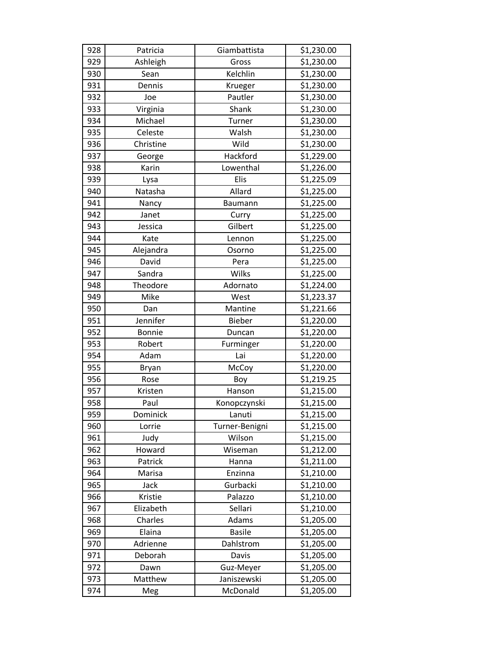| 928 | Patricia      | Giambattista   | \$1,230.00 |
|-----|---------------|----------------|------------|
| 929 | Ashleigh      | Gross          | \$1,230.00 |
| 930 | Sean          | Kelchlin       | \$1,230.00 |
| 931 | Dennis        | Krueger        | \$1,230.00 |
| 932 | Joe           | Pautler        | \$1,230.00 |
| 933 | Virginia      | Shank          | \$1,230.00 |
| 934 | Michael       | Turner         | \$1,230.00 |
| 935 | Celeste       | Walsh          | \$1,230.00 |
| 936 | Christine     | Wild           | \$1,230.00 |
| 937 | George        | Hackford       | \$1,229.00 |
| 938 | Karin         | Lowenthal      | \$1,226.00 |
| 939 | Lysa          | Elis           | \$1,225.09 |
| 940 | Natasha       | Allard         | \$1,225.00 |
| 941 | Nancy         | Baumann        | \$1,225.00 |
| 942 | Janet         | Curry          | \$1,225.00 |
| 943 | Jessica       | Gilbert        | \$1,225.00 |
| 944 | Kate          | Lennon         | \$1,225.00 |
| 945 | Alejandra     | Osorno         | \$1,225.00 |
| 946 | David         | Pera           | \$1,225.00 |
| 947 | Sandra        | Wilks          | \$1,225.00 |
| 948 | Theodore      | Adornato       | \$1,224.00 |
| 949 | Mike          | West           | \$1,223.37 |
| 950 | Dan           | Mantine        | \$1,221.66 |
| 951 | Jennifer      | <b>Bieber</b>  | \$1,220.00 |
| 952 | <b>Bonnie</b> | Duncan         | \$1,220.00 |
| 953 | Robert        | Furminger      | \$1,220.00 |
| 954 | Adam          | Lai            | \$1,220.00 |
| 955 | <b>Bryan</b>  | McCoy          | \$1,220.00 |
| 956 | Rose          | Boy            | \$1,219.25 |
| 957 | Kristen       | Hanson         | \$1,215.00 |
| 958 | Paul          | Konopczynski   | \$1,215.00 |
| 959 | Dominick      | Lanuti         | \$1,215.00 |
| 960 | Lorrie        | Turner-Benigni | \$1,215.00 |
| 961 | Judy          | Wilson         | \$1,215.00 |
| 962 | Howard        | Wiseman        | \$1,212.00 |
| 963 | Patrick       | Hanna          | \$1,211.00 |
| 964 | Marisa        | Enzinna        | \$1,210.00 |
| 965 | Jack          | Gurbacki       | \$1,210.00 |
| 966 | Kristie       | Palazzo        | \$1,210.00 |
| 967 | Elizabeth     | Sellari        | \$1,210.00 |
| 968 | Charles       | Adams          | \$1,205.00 |
| 969 | Elaina        | <b>Basile</b>  | \$1,205.00 |
| 970 | Adrienne      | Dahlstrom      | \$1,205.00 |
| 971 | Deborah       | Davis          | \$1,205.00 |
| 972 | Dawn          | Guz-Meyer      | \$1,205.00 |
| 973 | Matthew       | Janiszewski    | \$1,205.00 |
| 974 | Meg           | McDonald       | \$1,205.00 |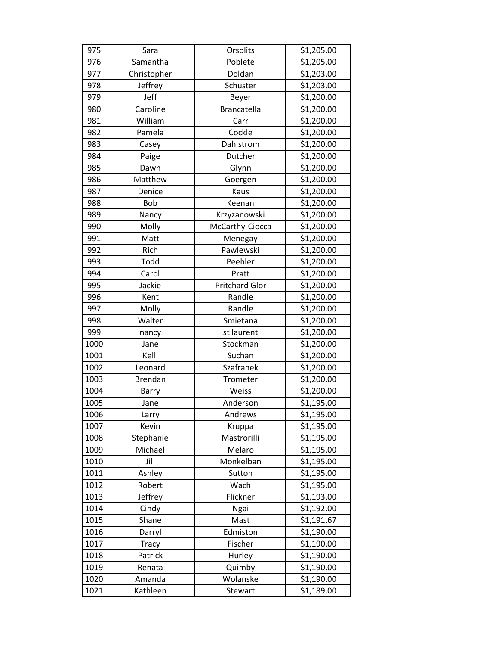| 975  | Sara         | Orsolits              | \$1,205.00 |
|------|--------------|-----------------------|------------|
| 976  | Samantha     | Poblete               | \$1,205.00 |
| 977  | Christopher  | Doldan                | \$1,203.00 |
| 978  | Jeffrey      | Schuster              | \$1,203.00 |
| 979  | Jeff         | Beyer                 | \$1,200.00 |
| 980  | Caroline     | Brancatella           | \$1,200.00 |
| 981  | William      | Carr                  | \$1,200.00 |
| 982  | Pamela       | Cockle                | \$1,200.00 |
| 983  | Casey        | Dahlstrom             | \$1,200.00 |
| 984  | Paige        | Dutcher               | \$1,200.00 |
| 985  | Dawn         | Glynn                 | \$1,200.00 |
| 986  | Matthew      | Goergen               | \$1,200.00 |
| 987  | Denice       | Kaus                  | \$1,200.00 |
| 988  | <b>Bob</b>   | Keenan                | \$1,200.00 |
| 989  | Nancy        | Krzyzanowski          | \$1,200.00 |
| 990  | Molly        | McCarthy-Ciocca       | \$1,200.00 |
| 991  | Matt         | Menegay               | \$1,200.00 |
| 992  | Rich         | Pawlewski             | \$1,200.00 |
| 993  | Todd         | Peehler               | \$1,200.00 |
| 994  | Carol        | Pratt                 | \$1,200.00 |
| 995  | Jackie       | <b>Pritchard Glor</b> | \$1,200.00 |
| 996  | Kent         | Randle                | \$1,200.00 |
| 997  | Molly        | Randle                | \$1,200.00 |
| 998  | Walter       | Smietana              | \$1,200.00 |
| 999  | nancy        | st laurent            | \$1,200.00 |
| 1000 | Jane         | Stockman              | \$1,200.00 |
| 1001 | Kelli        | Suchan                | \$1,200.00 |
| 1002 | Leonard      | Szafranek             | \$1,200.00 |
| 1003 | Brendan      | Trometer              | \$1,200.00 |
| 1004 | Barry        | Weiss                 | \$1,200.00 |
| 1005 | Jane         | Anderson              | \$1,195.00 |
| 1006 | Larry        | Andrews               | \$1,195.00 |
| 1007 | Kevin        | Kruppa                | \$1,195.00 |
| 1008 | Stephanie    | Mastrorilli           | \$1,195.00 |
| 1009 | Michael      | Melaro                | \$1,195.00 |
| 1010 | Jill         | Monkelban             | \$1,195.00 |
| 1011 | Ashley       | Sutton                | \$1,195.00 |
| 1012 | Robert       | Wach                  | \$1,195.00 |
| 1013 | Jeffrey      | Flickner              | \$1,193.00 |
| 1014 | Cindy        | Ngai                  | \$1,192.00 |
| 1015 | Shane        | Mast                  | \$1,191.67 |
| 1016 | Darryl       | Edmiston              | \$1,190.00 |
| 1017 | <b>Tracy</b> | Fischer               | \$1,190.00 |
| 1018 | Patrick      | Hurley                | \$1,190.00 |
| 1019 | Renata       | Quimby                | \$1,190.00 |
| 1020 | Amanda       | Wolanske              | \$1,190.00 |
| 1021 | Kathleen     | Stewart               | \$1,189.00 |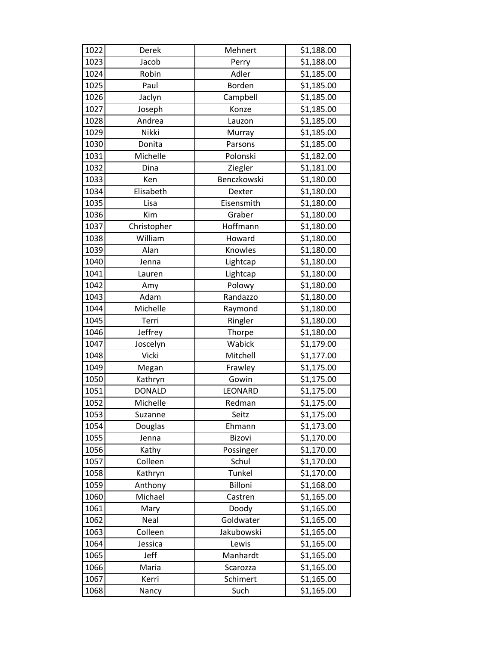| 1022 | Derek         | Mehnert     | \$1,188.00 |
|------|---------------|-------------|------------|
| 1023 | Jacob         | Perry       | \$1,188.00 |
| 1024 | Robin         | Adler       | \$1,185.00 |
| 1025 | Paul          | Borden      | \$1,185.00 |
| 1026 | Jaclyn        | Campbell    | \$1,185.00 |
| 1027 | Joseph        | Konze       | \$1,185.00 |
| 1028 | Andrea        | Lauzon      | \$1,185.00 |
| 1029 | Nikki         | Murray      | \$1,185.00 |
| 1030 | Donita        | Parsons     | \$1,185.00 |
| 1031 | Michelle      | Polonski    | \$1,182.00 |
| 1032 | Dina          | Ziegler     | \$1,181.00 |
| 1033 | Ken           | Benczkowski | \$1,180.00 |
| 1034 | Elisabeth     | Dexter      | \$1,180.00 |
| 1035 | Lisa          | Eisensmith  | \$1,180.00 |
| 1036 | Kim           | Graber      | \$1,180.00 |
| 1037 | Christopher   | Hoffmann    | \$1,180.00 |
| 1038 | William       | Howard      | \$1,180.00 |
| 1039 | Alan          | Knowles     | \$1,180.00 |
| 1040 | Jenna         | Lightcap    | \$1,180.00 |
| 1041 | Lauren        | Lightcap    | \$1,180.00 |
| 1042 | Amy           | Polowy      | \$1,180.00 |
| 1043 | Adam          | Randazzo    | \$1,180.00 |
| 1044 | Michelle      | Raymond     | \$1,180.00 |
| 1045 | Terri         | Ringler     | \$1,180.00 |
| 1046 | Jeffrey       | Thorpe      | \$1,180.00 |
| 1047 | Joscelyn      | Wabick      | \$1,179.00 |
| 1048 | Vicki         | Mitchell    | \$1,177.00 |
| 1049 | Megan         | Frawley     | \$1,175.00 |
| 1050 | Kathryn       | Gowin       | \$1,175.00 |
| 1051 | <b>DONALD</b> | LEONARD     | \$1,175.00 |
| 1052 | Michelle      | Redman      | \$1,175.00 |
| 1053 | Suzanne       | Seitz       | \$1,175.00 |
| 1054 | Douglas       | Ehmann      | \$1,173.00 |
| 1055 | Jenna         | Bizovi      | \$1,170.00 |
| 1056 | Kathy         | Possinger   | \$1,170.00 |
| 1057 | Colleen       | Schul       | \$1,170.00 |
| 1058 | Kathryn       | Tunkel      | \$1,170.00 |
| 1059 | Anthony       | Billoni     | \$1,168.00 |
| 1060 | Michael       | Castren     | \$1,165.00 |
| 1061 | Mary          | Doody       | \$1,165.00 |
| 1062 | Neal          | Goldwater   | \$1,165.00 |
| 1063 | Colleen       | Jakubowski  | \$1,165.00 |
| 1064 | Jessica       | Lewis       | \$1,165.00 |
| 1065 | Jeff          | Manhardt    | \$1,165.00 |
| 1066 | Maria         | Scarozza    | \$1,165.00 |
| 1067 | Kerri         | Schimert    | \$1,165.00 |
| 1068 | Nancy         | Such        | \$1,165.00 |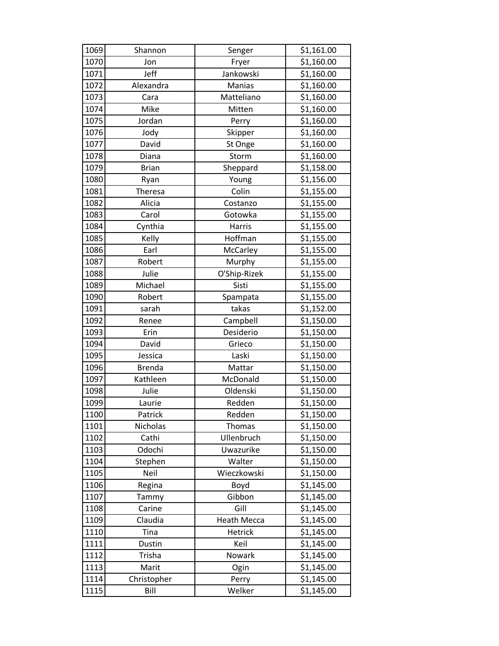| 1069 | Shannon       | Senger             | \$1,161.00 |
|------|---------------|--------------------|------------|
| 1070 | Jon           | Fryer              | \$1,160.00 |
| 1071 | Jeff          | Jankowski          | \$1,160.00 |
| 1072 | Alexandra     | Manias             | \$1,160.00 |
| 1073 | Cara          | Matteliano         | \$1,160.00 |
| 1074 | Mike          | Mitten             | \$1,160.00 |
| 1075 | Jordan        | Perry              | \$1,160.00 |
| 1076 | Jody          | Skipper            | \$1,160.00 |
| 1077 | David         | St Onge            | \$1,160.00 |
| 1078 | Diana         | Storm              | \$1,160.00 |
| 1079 | <b>Brian</b>  | Sheppard           | \$1,158.00 |
| 1080 | Ryan          | Young              | \$1,156.00 |
| 1081 | Theresa       | Colin              | \$1,155.00 |
| 1082 | Alicia        | Costanzo           | \$1,155.00 |
| 1083 | Carol         | Gotowka            | \$1,155.00 |
| 1084 | Cynthia       | Harris             | \$1,155.00 |
| 1085 | Kelly         | Hoffman            | \$1,155.00 |
| 1086 | Earl          | McCarley           | \$1,155.00 |
| 1087 | Robert        | Murphy             | \$1,155.00 |
| 1088 | Julie         | O'Ship-Rizek       | \$1,155.00 |
| 1089 | Michael       | Sisti              | \$1,155.00 |
| 1090 | Robert        | Spampata           | \$1,155.00 |
| 1091 | sarah         | takas              | \$1,152.00 |
| 1092 | Renee         | Campbell           | \$1,150.00 |
| 1093 | Erin          | Desiderio          | \$1,150.00 |
| 1094 | David         | Grieco             | \$1,150.00 |
| 1095 | Jessica       | Laski              | \$1,150.00 |
| 1096 | <b>Brenda</b> | Mattar             | \$1,150.00 |
| 1097 | Kathleen      | McDonald           | \$1,150.00 |
| 1098 | Julie         | Oldenski           | \$1,150.00 |
| 1099 | Laurie        | Redden             | \$1,150.00 |
| 1100 | Patrick       | Redden             | \$1,150.00 |
| 1101 | Nicholas      | <b>Thomas</b>      | \$1,150.00 |
| 1102 | Cathi         | Ullenbruch         | \$1,150.00 |
| 1103 | Odochi        | Uwazurike          | \$1,150.00 |
| 1104 | Stephen       | Walter             | \$1,150.00 |
| 1105 | Neil          | Wieczkowski        | \$1,150.00 |
| 1106 | Regina        | Boyd               | \$1,145.00 |
| 1107 | Tammy         | Gibbon             | \$1,145.00 |
| 1108 | Carine        | Gill               | \$1,145.00 |
| 1109 | Claudia       | <b>Heath Mecca</b> | \$1,145.00 |
| 1110 | Tina          | Hetrick            | \$1,145.00 |
| 1111 | Dustin        | Keil               | \$1,145.00 |
| 1112 | Trisha        | Nowark             | \$1,145.00 |
| 1113 | Marit         | Ogin               | \$1,145.00 |
| 1114 | Christopher   | Perry              | \$1,145.00 |
| 1115 | Bill          | Welker             | \$1,145.00 |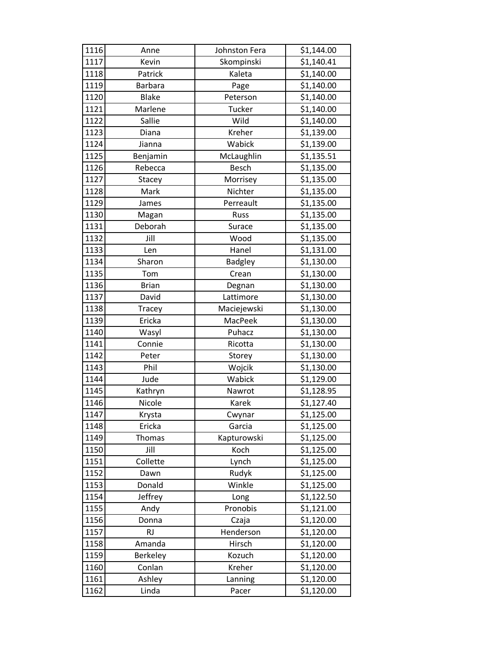| 1116 | Anne           | Johnston Fera  | \$1,144.00 |
|------|----------------|----------------|------------|
| 1117 | Kevin          | Skompinski     | \$1,140.41 |
| 1118 | Patrick        | Kaleta         | \$1,140.00 |
| 1119 | <b>Barbara</b> | Page           | \$1,140.00 |
| 1120 | <b>Blake</b>   | Peterson       | \$1,140.00 |
| 1121 | Marlene        | <b>Tucker</b>  | \$1,140.00 |
| 1122 | Sallie         | Wild           | \$1,140.00 |
| 1123 | Diana          | Kreher         | \$1,139.00 |
| 1124 | Jianna         | Wabick         | \$1,139.00 |
| 1125 | Benjamin       | McLaughlin     | \$1,135.51 |
| 1126 | Rebecca        | <b>Besch</b>   | \$1,135.00 |
| 1127 | Stacey         | Morrisey       | \$1,135.00 |
| 1128 | Mark           | Nichter        | \$1,135.00 |
| 1129 | James          | Perreault      | \$1,135.00 |
| 1130 | Magan          | <b>Russ</b>    | \$1,135.00 |
| 1131 | Deborah        | Surace         | \$1,135.00 |
| 1132 | Jill           | Wood           | \$1,135.00 |
| 1133 | Len            | Hanel          | \$1,131.00 |
| 1134 | Sharon         | <b>Badgley</b> | \$1,130.00 |
| 1135 | Tom            | Crean          | \$1,130.00 |
| 1136 | <b>Brian</b>   | Degnan         | \$1,130.00 |
| 1137 | David          | Lattimore      | \$1,130.00 |
| 1138 | Tracey         | Maciejewski    | \$1,130.00 |
| 1139 | Ericka         | MacPeek        | \$1,130.00 |
| 1140 | Wasyl          | Puhacz         | \$1,130.00 |
| 1141 | Connie         | Ricotta        | \$1,130.00 |
| 1142 | Peter          | Storey         | \$1,130.00 |
| 1143 | Phil           | Wojcik         | \$1,130.00 |
| 1144 | Jude           | Wabick         | \$1,129.00 |
| 1145 | Kathryn        | Nawrot         | \$1,128.95 |
| 1146 | Nicole         | Karek          | \$1,127.40 |
| 1147 | Krysta         | Cwynar         | \$1,125.00 |
| 1148 | Ericka         | Garcia         | \$1,125.00 |
| 1149 | Thomas         | Kapturowski    | \$1,125.00 |
| 1150 | Jill           | Koch           | \$1,125.00 |
| 1151 | Collette       | Lynch          | \$1,125.00 |
| 1152 | Dawn           | Rudyk          | \$1,125.00 |
| 1153 | Donald         | Winkle         | \$1,125.00 |
| 1154 | Jeffrey        | Long           | \$1,122.50 |
| 1155 | Andy           | Pronobis       | \$1,121.00 |
| 1156 | Donna          | Czaja          | \$1,120.00 |
| 1157 | <b>RJ</b>      | Henderson      | \$1,120.00 |
| 1158 | Amanda         | Hirsch         | \$1,120.00 |
| 1159 | Berkeley       | Kozuch         | \$1,120.00 |
| 1160 | Conlan         | Kreher         | \$1,120.00 |
| 1161 | Ashley         | Lanning        | \$1,120.00 |
| 1162 | Linda          | Pacer          | \$1,120.00 |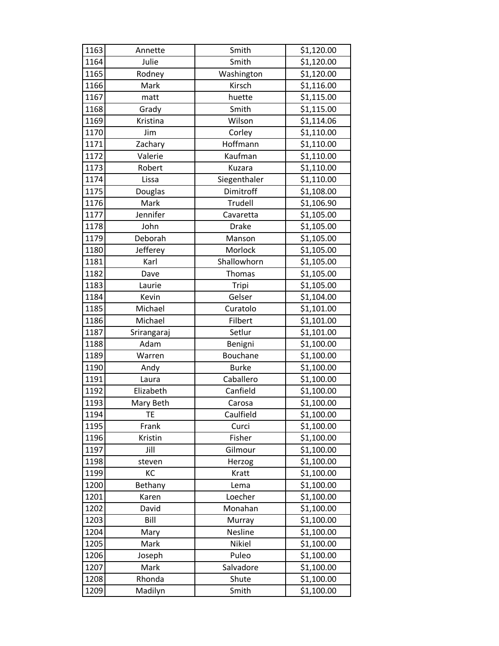| 1163 | Annette     | Smith        | \$1,120.00 |
|------|-------------|--------------|------------|
| 1164 | Julie       | Smith        | \$1,120.00 |
| 1165 | Rodney      | Washington   | \$1,120.00 |
| 1166 | Mark        | Kirsch       | \$1,116.00 |
| 1167 | matt        | huette       | \$1,115.00 |
| 1168 | Grady       | Smith        | \$1,115.00 |
| 1169 | Kristina    | Wilson       | \$1,114.06 |
| 1170 | Jim         | Corley       | \$1,110.00 |
| 1171 | Zachary     | Hoffmann     | \$1,110.00 |
| 1172 | Valerie     | Kaufman      | \$1,110.00 |
| 1173 | Robert      | Kuzara       | \$1,110.00 |
| 1174 | Lissa       | Siegenthaler | \$1,110.00 |
| 1175 | Douglas     | Dimitroff    | \$1,108.00 |
| 1176 | Mark        | Trudell      | \$1,106.90 |
| 1177 | Jennifer    | Cavaretta    | \$1,105.00 |
| 1178 | John        | <b>Drake</b> | \$1,105.00 |
| 1179 | Deborah     | Manson       | \$1,105.00 |
| 1180 | Jefferey    | Morlock      | \$1,105.00 |
| 1181 | Karl        | Shallowhorn  | \$1,105.00 |
| 1182 | Dave        | Thomas       | \$1,105.00 |
| 1183 | Laurie      | Tripi        | \$1,105.00 |
| 1184 | Kevin       | Gelser       | \$1,104.00 |
| 1185 | Michael     | Curatolo     | \$1,101.00 |
| 1186 | Michael     | Filbert      | \$1,101.00 |
| 1187 | Srirangaraj | Setlur       | \$1,101.00 |
| 1188 | Adam        | Benigni      | \$1,100.00 |
| 1189 | Warren      | Bouchane     | \$1,100.00 |
| 1190 | Andy        | <b>Burke</b> | \$1,100.00 |
| 1191 | Laura       | Caballero    | \$1,100.00 |
| 1192 | Elizabeth   | Canfield     | \$1,100.00 |
| 1193 | Mary Beth   | Carosa       | \$1,100.00 |
| 1194 | <b>TE</b>   | Caulfield    | \$1,100.00 |
| 1195 | Frank       | Curci        | \$1,100.00 |
| 1196 | Kristin     | Fisher       | \$1,100.00 |
| 1197 | Jill        | Gilmour      | \$1,100.00 |
| 1198 | steven      | Herzog       | \$1,100.00 |
| 1199 | KC          | Kratt        | \$1,100.00 |
| 1200 | Bethany     | Lema         | \$1,100.00 |
| 1201 | Karen       | Loecher      | \$1,100.00 |
| 1202 | David       | Monahan      | \$1,100.00 |
| 1203 | Bill        | Murray       | \$1,100.00 |
| 1204 | Mary        | Nesline      | \$1,100.00 |
| 1205 | Mark        | Nikiel       | \$1,100.00 |
| 1206 | Joseph      | Puleo        | \$1,100.00 |
| 1207 | Mark        | Salvadore    | \$1,100.00 |
| 1208 | Rhonda      | Shute        | \$1,100.00 |
| 1209 | Madilyn     | Smith        | \$1,100.00 |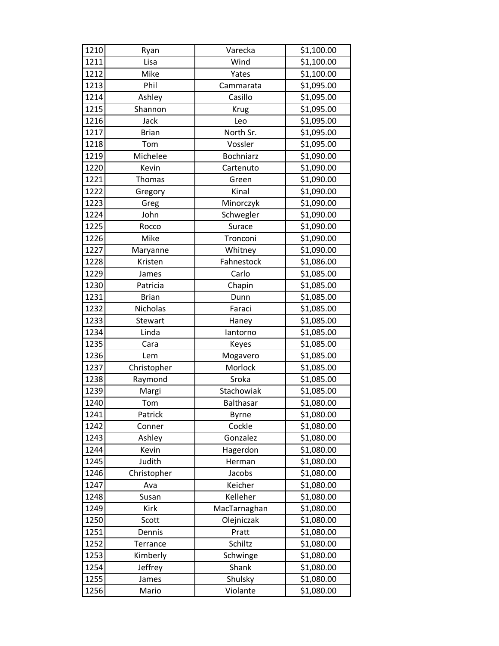| 1210 | Ryan         | Varecka          | \$1,100.00 |
|------|--------------|------------------|------------|
| 1211 | Lisa         | Wind             | \$1,100.00 |
| 1212 | Mike         | Yates            | \$1,100.00 |
| 1213 | Phil         | Cammarata        | \$1,095.00 |
| 1214 | Ashley       | Casillo          | \$1,095.00 |
| 1215 | Shannon      | <b>Krug</b>      | \$1,095.00 |
| 1216 | Jack         | Leo              | \$1,095.00 |
| 1217 | <b>Brian</b> | North Sr.        | \$1,095.00 |
| 1218 | Tom          | Vossler          | \$1,095.00 |
| 1219 | Michelee     | <b>Bochniarz</b> | \$1,090.00 |
| 1220 | Kevin        | Cartenuto        | \$1,090.00 |
| 1221 | Thomas       | Green            | \$1,090.00 |
| 1222 | Gregory      | Kinal            | \$1,090.00 |
| 1223 | Greg         | Minorczyk        | \$1,090.00 |
| 1224 | John         | Schwegler        | \$1,090.00 |
| 1225 | Rocco        | Surace           | \$1,090.00 |
| 1226 | Mike         | Tronconi         | \$1,090.00 |
| 1227 | Maryanne     | Whitney          | \$1,090.00 |
| 1228 | Kristen      | Fahnestock       | \$1,086.00 |
| 1229 | James        | Carlo            | \$1,085.00 |
| 1230 | Patricia     | Chapin           | \$1,085.00 |
| 1231 | <b>Brian</b> | Dunn             | \$1,085.00 |
| 1232 | Nicholas     | Faraci           | \$1,085.00 |
| 1233 | Stewart      | Haney            | \$1,085.00 |
| 1234 | Linda        | lantorno         | \$1,085.00 |
| 1235 | Cara         | Keyes            | \$1,085.00 |
| 1236 | Lem          | Mogavero         | \$1,085.00 |
| 1237 | Christopher  | Morlock          | \$1,085.00 |
| 1238 | Raymond      | Sroka            | \$1,085.00 |
| 1239 | Margi        | Stachowiak       | \$1,085.00 |
| 1240 | Tom          | <b>Balthasar</b> | \$1,080.00 |
| 1241 | Patrick      | <b>Byrne</b>     | \$1,080.00 |
| 1242 | Conner       | Cockle           | \$1,080.00 |
| 1243 | Ashley       | Gonzalez         | \$1,080.00 |
| 1244 | Kevin        | Hagerdon         | \$1,080.00 |
| 1245 | Judith       | Herman           | \$1,080.00 |
| 1246 | Christopher  | Jacobs           | \$1,080.00 |
| 1247 | Ava          | Keicher          | \$1,080.00 |
| 1248 | Susan        | Kelleher         | \$1,080.00 |
| 1249 | Kirk         | MacTarnaghan     | \$1,080.00 |
| 1250 | Scott        | Olejniczak       | \$1,080.00 |
| 1251 | Dennis       | Pratt            | \$1,080.00 |
| 1252 | Terrance     | Schiltz          | \$1,080.00 |
| 1253 | Kimberly     | Schwinge         | \$1,080.00 |
| 1254 | Jeffrey      | Shank            | \$1,080.00 |
| 1255 | James        | Shulsky          | \$1,080.00 |
| 1256 | Mario        | Violante         | \$1,080.00 |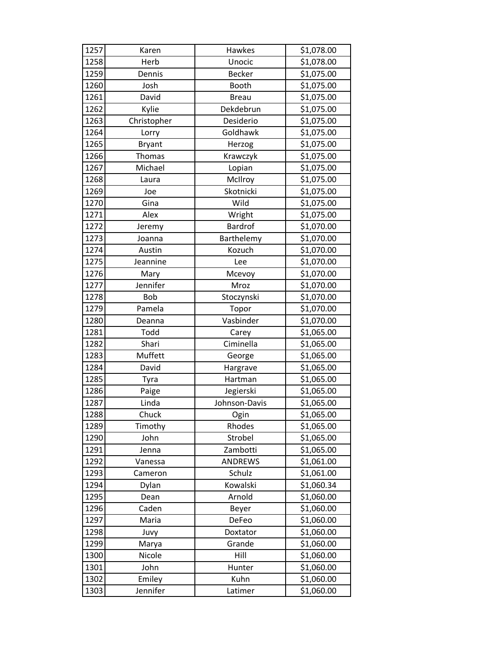| 1257 | Karen         | Hawkes         | \$1,078.00 |
|------|---------------|----------------|------------|
| 1258 | Herb          | Unocic         | \$1,078.00 |
| 1259 | Dennis        | <b>Becker</b>  | \$1,075.00 |
| 1260 | Josh          | Booth          | \$1,075.00 |
| 1261 | David         | <b>Breau</b>   | \$1,075.00 |
| 1262 | Kylie         | Dekdebrun      | \$1,075.00 |
| 1263 | Christopher   | Desiderio      | \$1,075.00 |
| 1264 | Lorry         | Goldhawk       | \$1,075.00 |
| 1265 | <b>Bryant</b> | Herzog         | \$1,075.00 |
| 1266 | Thomas        | Krawczyk       | \$1,075.00 |
| 1267 | Michael       | Lopian         | \$1,075.00 |
| 1268 | Laura         | McIlroy        | \$1,075.00 |
| 1269 | Joe           | Skotnicki      | \$1,075.00 |
| 1270 | Gina          | Wild           | \$1,075.00 |
| 1271 | Alex          | Wright         | \$1,075.00 |
| 1272 | Jeremy        | <b>Bardrof</b> | \$1,070.00 |
| 1273 | Joanna        | Barthelemy     | \$1,070.00 |
| 1274 | Austin        | Kozuch         | \$1,070.00 |
| 1275 | Jeannine      | Lee            | \$1,070.00 |
| 1276 | Mary          | Mcevoy         | \$1,070.00 |
| 1277 | Jennifer      | Mroz           | \$1,070.00 |
| 1278 | <b>Bob</b>    | Stoczynski     | \$1,070.00 |
| 1279 | Pamela        | Topor          | \$1,070.00 |
| 1280 | Deanna        | Vasbinder      | \$1,070.00 |
| 1281 | Todd          | Carey          | \$1,065.00 |
| 1282 | Shari         | Ciminella      | \$1,065.00 |
| 1283 | Muffett       | George         | \$1,065.00 |
| 1284 | David         | Hargrave       | \$1,065.00 |
| 1285 | Tyra          | Hartman        | \$1,065.00 |
| 1286 | Paige         | Jegierski      | \$1,065.00 |
| 1287 | Linda         | Johnson-Davis  | \$1,065.00 |
| 1288 | Chuck         | Ogin           | \$1,065.00 |
| 1289 | Timothy       | Rhodes         | \$1,065.00 |
| 1290 | John          | Strobel        | \$1,065.00 |
| 1291 | Jenna         | Zambotti       | \$1,065.00 |
| 1292 | Vanessa       | <b>ANDREWS</b> | \$1,061.00 |
| 1293 | Cameron       | Schulz         | \$1,061.00 |
| 1294 | Dylan         | Kowalski       | \$1,060.34 |
| 1295 | Dean          | Arnold         | \$1,060.00 |
| 1296 | Caden         | Beyer          | \$1,060.00 |
| 1297 | Maria         | DeFeo          | \$1,060.00 |
| 1298 | Juvy          | Doxtator       | \$1,060.00 |
| 1299 | Marya         | Grande         | \$1,060.00 |
| 1300 | Nicole        | Hill           | \$1,060.00 |
| 1301 | John          | Hunter         | \$1,060.00 |
| 1302 | Emiley        | Kuhn           | \$1,060.00 |
| 1303 | Jennifer      | Latimer        | \$1,060.00 |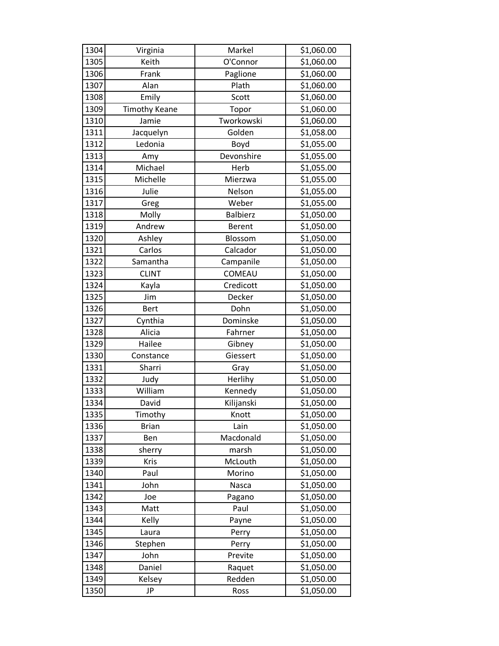| 1304 | Virginia             | Markel          | \$1,060.00 |
|------|----------------------|-----------------|------------|
| 1305 | Keith                | O'Connor        | \$1,060.00 |
| 1306 | Frank                | Paglione        | \$1,060.00 |
| 1307 | Alan                 | Plath           | \$1,060.00 |
| 1308 | Emily                | Scott           | \$1,060.00 |
| 1309 | <b>Timothy Keane</b> | Topor           | \$1,060.00 |
| 1310 | Jamie                | Tworkowski      | \$1,060.00 |
| 1311 | Jacquelyn            | Golden          | \$1,058.00 |
| 1312 | Ledonia              | Boyd            | \$1,055.00 |
| 1313 | Amy                  | Devonshire      | \$1,055.00 |
| 1314 | Michael              | Herb            | \$1,055.00 |
| 1315 | Michelle             | Mierzwa         | \$1,055.00 |
| 1316 | Julie                | Nelson          | \$1,055.00 |
| 1317 | Greg                 | Weber           | \$1,055.00 |
| 1318 | Molly                | <b>Balbierz</b> | \$1,050.00 |
| 1319 | Andrew               | <b>Berent</b>   | \$1,050.00 |
| 1320 | Ashley               | Blossom         | \$1,050.00 |
| 1321 | Carlos               | Calcador        | \$1,050.00 |
| 1322 | Samantha             | Campanile       | \$1,050.00 |
| 1323 | <b>CLINT</b>         | COMEAU          | \$1,050.00 |
| 1324 | Kayla                | Credicott       | \$1,050.00 |
| 1325 | Jim                  | Decker          | \$1,050.00 |
| 1326 | <b>Bert</b>          | Dohn            | \$1,050.00 |
| 1327 | Cynthia              | Dominske        | \$1,050.00 |
| 1328 | Alicia               | Fahrner         | \$1,050.00 |
| 1329 | Hailee               | Gibney          | \$1,050.00 |
| 1330 | Constance            | Giessert        | \$1,050.00 |
| 1331 | Sharri               | Gray            | \$1,050.00 |
| 1332 | Judy                 | Herlihy         | \$1,050.00 |
| 1333 | William              | Kennedy         | \$1,050.00 |
| 1334 | David                | Kilijanski      | \$1,050.00 |
| 1335 | Timothy              | Knott           | \$1,050.00 |
| 1336 | <b>Brian</b>         | Lain            | \$1,050.00 |
| 1337 | Ben                  | Macdonald       | \$1,050.00 |
| 1338 | sherry               | marsh           | \$1,050.00 |
| 1339 | Kris                 | McLouth         | \$1,050.00 |
| 1340 | Paul                 | Morino          | \$1,050.00 |
| 1341 | John                 | Nasca           | \$1,050.00 |
| 1342 | Joe                  | Pagano          | \$1,050.00 |
| 1343 | Matt                 | Paul            | \$1,050.00 |
| 1344 | Kelly                | Payne           | \$1,050.00 |
| 1345 | Laura                | Perry           | \$1,050.00 |
| 1346 | Stephen              | Perry           | \$1,050.00 |
| 1347 | John                 | Previte         | \$1,050.00 |
| 1348 | Daniel               | Raquet          | \$1,050.00 |
| 1349 | Kelsey               | Redden          | \$1,050.00 |
| 1350 | JP                   | Ross            | \$1,050.00 |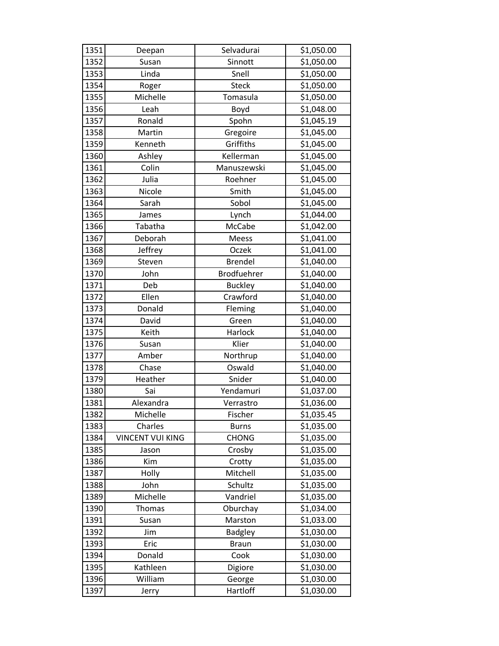| 1351 | Deepan                  | Selvadurai     | \$1,050.00 |
|------|-------------------------|----------------|------------|
| 1352 | Susan                   | Sinnott        | \$1,050.00 |
| 1353 | Linda                   | Snell          | \$1,050.00 |
| 1354 | Roger                   | <b>Steck</b>   | \$1,050.00 |
| 1355 | Michelle                | Tomasula       | \$1,050.00 |
| 1356 | Leah                    | Boyd           | \$1,048.00 |
| 1357 | Ronald                  | Spohn          | \$1,045.19 |
| 1358 | Martin                  | Gregoire       | \$1,045.00 |
| 1359 | Kenneth                 | Griffiths      | \$1,045.00 |
| 1360 | Ashley                  | Kellerman      | \$1,045.00 |
| 1361 | Colin                   | Manuszewski    | \$1,045.00 |
| 1362 | Julia                   | Roehner        | \$1,045.00 |
| 1363 | Nicole                  | Smith          | \$1,045.00 |
| 1364 | Sarah                   | Sobol          | \$1,045.00 |
| 1365 | James                   | Lynch          | \$1,044.00 |
| 1366 | Tabatha                 | McCabe         | \$1,042.00 |
| 1367 | Deborah                 | <b>Meess</b>   | \$1,041.00 |
| 1368 | Jeffrey                 | Oczek          | \$1,041.00 |
| 1369 | Steven                  | <b>Brendel</b> | \$1,040.00 |
| 1370 | John                    | Brodfuehrer    | \$1,040.00 |
| 1371 | Deb                     | <b>Buckley</b> | \$1,040.00 |
| 1372 | Ellen                   | Crawford       | \$1,040.00 |
| 1373 | Donald                  | Fleming        | \$1,040.00 |
| 1374 | David                   | Green          | \$1,040.00 |
| 1375 | Keith                   | Harlock        | \$1,040.00 |
| 1376 | Susan                   | Klier          | \$1,040.00 |
| 1377 | Amber                   | Northrup       | \$1,040.00 |
| 1378 | Chase                   | Oswald         | \$1,040.00 |
| 1379 | Heather                 | Snider         | \$1,040.00 |
| 1380 | Sai                     | Yendamuri      | \$1,037.00 |
| 1381 | Alexandra               | Verrastro      | \$1,036.00 |
| 1382 | Michelle                | Fischer        | \$1,035.45 |
| 1383 | Charles                 | <b>Burns</b>   | \$1,035.00 |
| 1384 | <b>VINCENT VUI KING</b> | <b>CHONG</b>   | \$1,035.00 |
| 1385 | Jason                   | Crosby         | \$1,035.00 |
| 1386 | Kim                     | Crotty         | \$1,035.00 |
| 1387 | Holly                   | Mitchell       | \$1,035.00 |
| 1388 | John                    | Schultz        | \$1,035.00 |
| 1389 | Michelle                | Vandriel       | \$1,035.00 |
| 1390 | Thomas                  | Oburchay       | \$1,034.00 |
| 1391 | Susan                   | Marston        | \$1,033.00 |
| 1392 | Jim                     | <b>Badgley</b> | \$1,030.00 |
| 1393 | Eric                    | <b>Braun</b>   | \$1,030.00 |
| 1394 | Donald                  | Cook           | \$1,030.00 |
| 1395 | Kathleen                | Digiore        | \$1,030.00 |
| 1396 | William                 | George         | \$1,030.00 |
| 1397 | Jerry                   | Hartloff       | \$1,030.00 |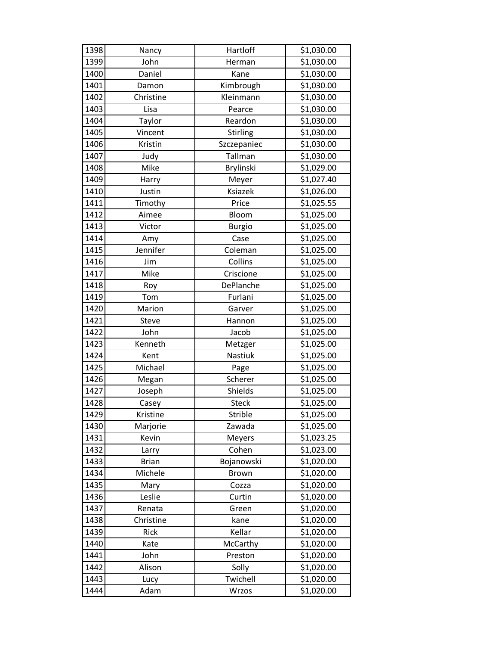| 1398 | Nancy        | Hartloff         | \$1,030.00 |
|------|--------------|------------------|------------|
| 1399 | John         | Herman           | \$1,030.00 |
| 1400 | Daniel       | Kane             | \$1,030.00 |
| 1401 | Damon        | Kimbrough        | \$1,030.00 |
| 1402 | Christine    | Kleinmann        | \$1,030.00 |
| 1403 | Lisa         | Pearce           | \$1,030.00 |
| 1404 | Taylor       | Reardon          | \$1,030.00 |
| 1405 | Vincent      | Stirling         | \$1,030.00 |
| 1406 | Kristin      | Szczepaniec      | \$1,030.00 |
| 1407 | Judy         | Tallman          | \$1,030.00 |
| 1408 | Mike         | <b>Brylinski</b> | \$1,029.00 |
| 1409 | Harry        | Meyer            | \$1,027.40 |
| 1410 | Justin       | Ksiazek          | \$1,026.00 |
| 1411 | Timothy      | Price            | \$1,025.55 |
| 1412 | Aimee        | Bloom            | \$1,025.00 |
| 1413 | Victor       | <b>Burgio</b>    | \$1,025.00 |
| 1414 | Amy          | Case             | \$1,025.00 |
| 1415 | Jennifer     | Coleman          | \$1,025.00 |
| 1416 | Jim          | Collins          | \$1,025.00 |
| 1417 | Mike         | Criscione        | \$1,025.00 |
| 1418 | Roy          | DePlanche        | \$1,025.00 |
| 1419 | Tom          | Furlani          | \$1,025.00 |
| 1420 | Marion       | Garver           | \$1,025.00 |
| 1421 | Steve        | Hannon           | \$1,025.00 |
| 1422 | John         | Jacob            | \$1,025.00 |
| 1423 | Kenneth      | Metzger          | \$1,025.00 |
| 1424 | Kent         | Nastiuk          | \$1,025.00 |
| 1425 | Michael      | Page             | \$1,025.00 |
| 1426 | Megan        | Scherer          | \$1,025.00 |
| 1427 | Joseph       | Shields          | \$1,025.00 |
| 1428 | Casey        | <b>Steck</b>     | \$1,025.00 |
| 1429 | Kristine     | Strible          | \$1,025.00 |
| 1430 | Marjorie     | Zawada           | \$1,025.00 |
| 1431 | Kevin        | <b>Meyers</b>    | \$1,023.25 |
| 1432 | Larry        | Cohen            | \$1,023.00 |
| 1433 | <b>Brian</b> | Bojanowski       | \$1,020.00 |
| 1434 | Michele      | <b>Brown</b>     | \$1,020.00 |
| 1435 | Mary         | Cozza            | \$1,020.00 |
| 1436 | Leslie       | Curtin           | \$1,020.00 |
| 1437 | Renata       | Green            | \$1,020.00 |
| 1438 | Christine    | kane             | \$1,020.00 |
| 1439 | Rick         | Kellar           | \$1,020.00 |
| 1440 | Kate         | McCarthy         | \$1,020.00 |
| 1441 | John         | Preston          | \$1,020.00 |
| 1442 | Alison       | Solly            | \$1,020.00 |
| 1443 | Lucy         | Twichell         | \$1,020.00 |
| 1444 | Adam         | Wrzos            | \$1,020.00 |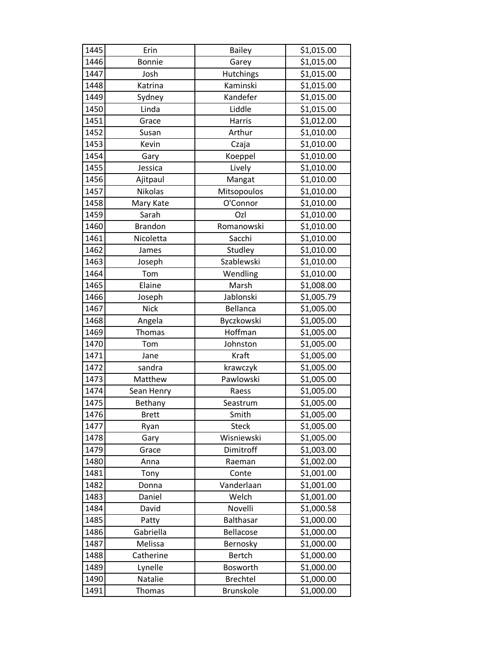| 1445 | Erin           | <b>Bailey</b>    | \$1,015.00 |
|------|----------------|------------------|------------|
| 1446 | <b>Bonnie</b>  | Garey            | \$1,015.00 |
| 1447 | Josh           | Hutchings        | \$1,015.00 |
| 1448 | Katrina        | Kaminski         | \$1,015.00 |
| 1449 | Sydney         | Kandefer         | \$1,015.00 |
| 1450 | Linda          | Liddle           | \$1,015.00 |
| 1451 | Grace          | Harris           | \$1,012.00 |
| 1452 | Susan          | Arthur           | \$1,010.00 |
| 1453 | Kevin          | Czaja            | \$1,010.00 |
| 1454 | Gary           | Koeppel          | \$1,010.00 |
| 1455 | Jessica        | Lively           | \$1,010.00 |
| 1456 | Ajitpaul       | Mangat           | \$1,010.00 |
| 1457 | Nikolas        | Mitsopoulos      | \$1,010.00 |
| 1458 | Mary Kate      | O'Connor         | \$1,010.00 |
| 1459 | Sarah          | Ozl              | \$1,010.00 |
| 1460 | <b>Brandon</b> | Romanowski       | \$1,010.00 |
| 1461 | Nicoletta      | Sacchi           | \$1,010.00 |
| 1462 | James          | Studley          | \$1,010.00 |
| 1463 | Joseph         | Szablewski       | \$1,010.00 |
| 1464 | Tom            | Wendling         | \$1,010.00 |
| 1465 | Elaine         | Marsh            | \$1,008.00 |
| 1466 | Joseph         | Jablonski        | \$1,005.79 |
| 1467 | <b>Nick</b>    | Bellanca         | \$1,005.00 |
| 1468 | Angela         | Byczkowski       | \$1,005.00 |
| 1469 | Thomas         | Hoffman          | \$1,005.00 |
| 1470 | Tom            | Johnston         | \$1,005.00 |
| 1471 | Jane           | Kraft            | \$1,005.00 |
| 1472 | sandra         | krawczyk         | \$1,005.00 |
| 1473 | Matthew        | Pawlowski        | \$1,005.00 |
| 1474 | Sean Henry     | Raess            | \$1,005.00 |
| 1475 | Bethany        | Seastrum         | \$1,005.00 |
| 1476 | <b>Brett</b>   | Smith            | \$1,005.00 |
| 1477 | Ryan           | <b>Steck</b>     | \$1,005.00 |
| 1478 | Gary           | Wisniewski       | \$1,005.00 |
| 1479 | Grace          | Dimitroff        | \$1,003.00 |
| 1480 | Anna           | Raeman           | \$1,002.00 |
| 1481 | Tony           | Conte            | \$1,001.00 |
| 1482 | Donna          | Vanderlaan       | \$1,001.00 |
| 1483 | Daniel         | Welch            | \$1,001.00 |
| 1484 | David          | Novelli          | \$1,000.58 |
| 1485 | Patty          | Balthasar        | \$1,000.00 |
| 1486 | Gabriella      | Bellacose        | \$1,000.00 |
| 1487 | Melissa        | Bernosky         | \$1,000.00 |
| 1488 | Catherine      | <b>Bertch</b>    | \$1,000.00 |
| 1489 | Lynelle        | Bosworth         | \$1,000.00 |
| 1490 | Natalie        | <b>Brechtel</b>  | \$1,000.00 |
| 1491 | Thomas         | <b>Brunskole</b> | \$1,000.00 |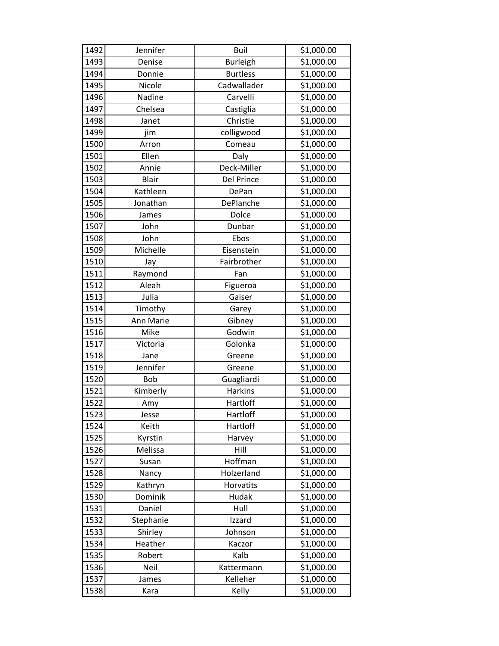| 1492 | Jennifer   | Buil            | \$1,000.00 |
|------|------------|-----------------|------------|
| 1493 | Denise     | Burleigh        | \$1,000.00 |
| 1494 | Donnie     | <b>Burtless</b> | \$1,000.00 |
| 1495 | Nicole     | Cadwallader     | \$1,000.00 |
| 1496 | Nadine     | Carvelli        | \$1,000.00 |
| 1497 | Chelsea    | Castiglia       | \$1,000.00 |
| 1498 | Janet      | Christie        | \$1,000.00 |
| 1499 | jim        | colligwood      | \$1,000.00 |
| 1500 | Arron      | Comeau          | \$1,000.00 |
| 1501 | Ellen      | Daly            | \$1,000.00 |
| 1502 | Annie      | Deck-Miller     | \$1,000.00 |
| 1503 | Blair      | Del Prince      | \$1,000.00 |
| 1504 | Kathleen   | DePan           | \$1,000.00 |
| 1505 | Jonathan   | DePlanche       | \$1,000.00 |
| 1506 | James      | Dolce           | \$1,000.00 |
| 1507 | John       | Dunbar          | \$1,000.00 |
| 1508 | John       | Ebos            | \$1,000.00 |
| 1509 | Michelle   | Eisenstein      | \$1,000.00 |
| 1510 | Jay        | Fairbrother     | \$1,000.00 |
| 1511 | Raymond    | Fan             | \$1,000.00 |
| 1512 | Aleah      | Figueroa        | \$1,000.00 |
| 1513 | Julia      | Gaiser          | \$1,000.00 |
| 1514 | Timothy    | Garey           | \$1,000.00 |
| 1515 | Ann Marie  | Gibney          | \$1,000.00 |
| 1516 | Mike       | Godwin          | \$1,000.00 |
| 1517 | Victoria   | Golonka         | \$1,000.00 |
| 1518 | Jane       | Greene          | \$1,000.00 |
| 1519 | Jennifer   | Greene          | \$1,000.00 |
| 1520 | <b>Bob</b> | Guagliardi      | \$1,000.00 |
| 1521 | Kimberly   | <b>Harkins</b>  | \$1,000.00 |
| 1522 | Amy        | Hartloff        | \$1,000.00 |
| 1523 | Jesse      | Hartloff        | \$1,000.00 |
| 1524 | Keith      | Hartloff        | \$1,000.00 |
| 1525 | Kyrstin    | Harvey          | \$1,000.00 |
| 1526 | Melissa    | Hill            | \$1,000.00 |
| 1527 | Susan      | Hoffman         | \$1,000.00 |
| 1528 | Nancy      | Holzerland      | \$1,000.00 |
| 1529 | Kathryn    | Horvatits       | \$1,000.00 |
| 1530 | Dominik    | Hudak           | \$1,000.00 |
| 1531 | Daniel     | Hull            | \$1,000.00 |
| 1532 | Stephanie  | Izzard          | \$1,000.00 |
| 1533 | Shirley    | Johnson         | \$1,000.00 |
| 1534 | Heather    | Kaczor          | \$1,000.00 |
| 1535 | Robert     | Kalb            | \$1,000.00 |
| 1536 | Neil       | Kattermann      | \$1,000.00 |
| 1537 | James      | Kelleher        | \$1,000.00 |
| 1538 | Kara       | Kelly           | \$1,000.00 |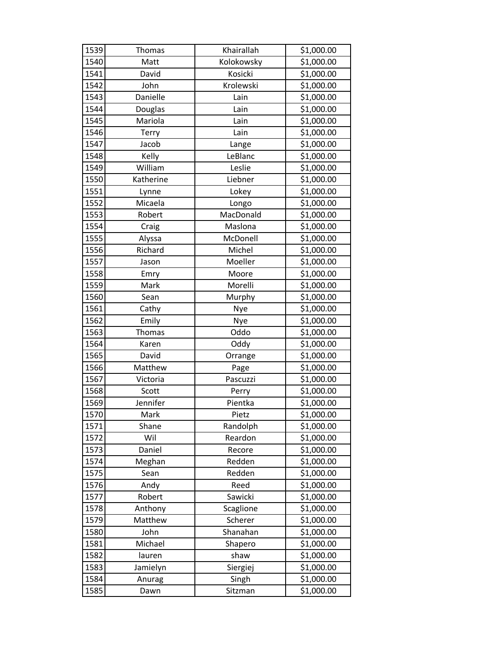| 1539 | <b>Thomas</b> | Khairallah | \$1,000.00 |
|------|---------------|------------|------------|
| 1540 | Matt          | Kolokowsky | \$1,000.00 |
| 1541 | David         | Kosicki    | \$1,000.00 |
| 1542 | John          | Krolewski  | \$1,000.00 |
| 1543 | Danielle      | Lain       | \$1,000.00 |
| 1544 | Douglas       | Lain       | \$1,000.00 |
| 1545 | Mariola       | Lain       | \$1,000.00 |
| 1546 | Terry         | Lain       | \$1,000.00 |
| 1547 | Jacob         | Lange      | \$1,000.00 |
| 1548 | Kelly         | LeBlanc    | \$1,000.00 |
| 1549 | William       | Leslie     | \$1,000.00 |
| 1550 | Katherine     | Liebner    | \$1,000.00 |
| 1551 | Lynne         | Lokey      | \$1,000.00 |
| 1552 | Micaela       | Longo      | \$1,000.00 |
| 1553 | Robert        | MacDonald  | \$1,000.00 |
| 1554 | Craig         | Maslona    | \$1,000.00 |
| 1555 | Alyssa        | McDonell   | \$1,000.00 |
| 1556 | Richard       | Michel     | \$1,000.00 |
| 1557 | Jason         | Moeller    | \$1,000.00 |
| 1558 | Emry          | Moore      | \$1,000.00 |
| 1559 | Mark          | Morelli    | \$1,000.00 |
| 1560 | Sean          | Murphy     | \$1,000.00 |
| 1561 | Cathy         | Nye        | \$1,000.00 |
| 1562 | Emily         | Nye        | \$1,000.00 |
| 1563 | <b>Thomas</b> | Oddo       | \$1,000.00 |
| 1564 | Karen         | Oddy       | \$1,000.00 |
| 1565 | David         | Orrange    | \$1,000.00 |
| 1566 | Matthew       | Page       | \$1,000.00 |
| 1567 | Victoria      | Pascuzzi   | \$1,000.00 |
| 1568 | Scott         | Perry      | \$1,000.00 |
| 1569 | Jennifer      | Pientka    | \$1,000.00 |
| 1570 | Mark          | Pietz      | \$1,000.00 |
| 1571 | Shane         | Randolph   | \$1,000.00 |
| 1572 | Wil           | Reardon    | \$1,000.00 |
| 1573 | Daniel        | Recore     | \$1,000.00 |
| 1574 | Meghan        | Redden     | \$1,000.00 |
| 1575 | Sean          | Redden     | \$1,000.00 |
| 1576 | Andy          | Reed       | \$1,000.00 |
| 1577 | Robert        | Sawicki    | \$1,000.00 |
| 1578 | Anthony       | Scaglione  | \$1,000.00 |
| 1579 | Matthew       | Scherer    | \$1,000.00 |
| 1580 | John          | Shanahan   | \$1,000.00 |
| 1581 | Michael       | Shapero    | \$1,000.00 |
| 1582 | lauren        | shaw       | \$1,000.00 |
| 1583 | Jamielyn      | Siergiej   | \$1,000.00 |
| 1584 | Anurag        | Singh      | \$1,000.00 |
| 1585 | Dawn          | Sitzman    | \$1,000.00 |